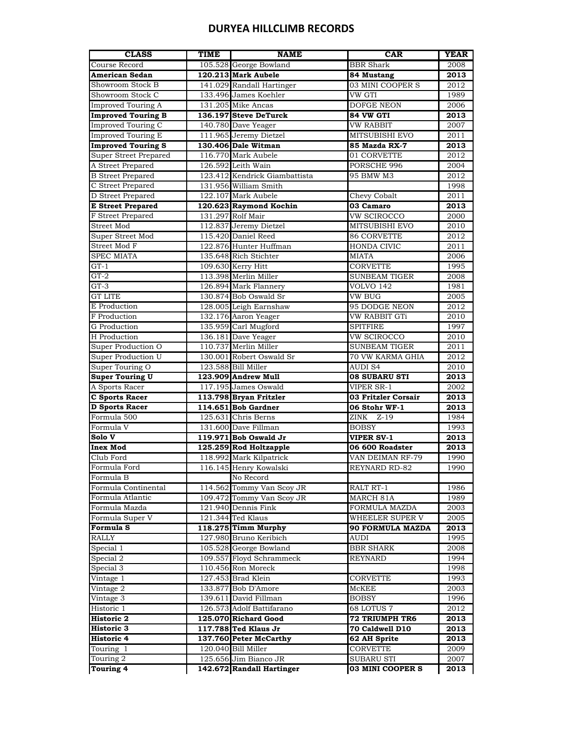# **DURYEA HILLCLIMB RECORDS**

| <b>CLASS</b>                             | TIME | <b>NAME</b>                   | <b>CAR</b>                               | <b>YEAR</b>  |
|------------------------------------------|------|-------------------------------|------------------------------------------|--------------|
| Course Record                            |      | 105.528 George Bowland        | <b>BBR</b> Shark                         | 2008         |
| <b>American Sedan</b>                    |      | 120.213 Mark Aubele           | 84 Mustang                               | 2013         |
| Showroom Stock B                         |      | 141.029 Randall Hartinger     | 03 MINI COOPER S                         | 2012         |
| Showroom Stock C                         |      | 133.496 James Koehler         | VW GTI                                   | 1989         |
| <b>Improved Touring A</b>                |      | 131.205 Mike Ancas            | <b>DOFGE NEON</b>                        | 2006         |
| <b>Improved Touring B</b>                |      | 136.197 Steve DeTurck         | 84 VW GTI                                | 2013         |
| <b>Improved Touring C</b>                |      | 140.780 Dave Yeager           | <b>VW RABBIT</b>                         | 2007         |
| Improved Touring E                       |      | 111.965 Jeremy Dietzel        | MITSUBISHI EVO                           | 2011         |
| <b>Improved Touring S</b>                |      | 130.406 Dale Witman           | 85 Mazda RX-7                            | 2013         |
| <b>Super Street Prepared</b>             |      | 116.770 Mark Aubele           | 01 CORVETTE                              | 2012         |
| A Street Prepared                        |      | 126.592 Leith Wain            | PORSCHE 996                              | 2004         |
| <b>B</b> Street Prepared                 |      | 123.412 Kendrick Giambattista | 95 BMW M3                                | 2012         |
| C Street Prepared                        |      | 131.956 William Smith         |                                          | 1998         |
| D Street Prepared                        |      | 122.107 Mark Aubele           | Chevy Cobalt                             | 2011         |
| <b>E</b> Street Prepared                 |      | 120.623 Raymond Kochin        | 03 Camaro                                | 2013         |
| F Street Prepared                        |      | 131.297 Rolf Mair             | VW SCIROCCO                              | 2000         |
| Street Mod                               |      | 112.837 Jeremy Dietzel        | <b>MITSUBISHI EVO</b>                    | 2010         |
| Super Street Mod                         |      | 115.420 Daniel Reed           | 86 CORVETTE                              | 2012         |
| Street Mod F                             |      | 122.876 Hunter Huffman        | <b>HONDA CIVIC</b>                       | 2011         |
| <b>SPEC MIATA</b>                        |      | 135.648 Rich Stichter         | <b>MIATA</b>                             | 2006         |
| $GT-1$                                   |      | 109.630 Kerry Hitt            | CORVETTE                                 | 1995         |
| $GT-2$                                   |      | 113.398 Merlin Miller         | <b>SUNBEAM TIGER</b>                     | 2008         |
| $GT-3$                                   |      | 126.894 Mark Flannery         | <b>VOLVO 142</b>                         | 1981         |
| <b>GT LITE</b>                           |      | 130.874 Bob Oswald Sr         | VW BUG                                   | 2005         |
| E Production                             |      | 128.005 Leigh Earnshaw        | 95 DODGE NEON                            | 2012         |
| F Production                             |      | 132.176 Aaron Yeager          | VW RABBIT GTi                            | 2010         |
| <b>G</b> Production                      |      | 135.959 Carl Mugford          | <b>SPITFIRE</b>                          | 1997         |
| H Production                             |      | 136.181 Dave Yeager           | VW SCIROCCO                              |              |
|                                          |      | 110.737 Merlin Miller         |                                          | 2010         |
| Super Production O<br>Super Production U |      | 130.001 Robert Oswald Sr      | <b>SUNBEAM TIGER</b><br>70 VW KARMA GHIA | 2011<br>2012 |
|                                          |      |                               |                                          |              |
| Super Touring O                          |      | 123.588 Bill Miller           | <b>AUDI S4</b>                           | 2010         |
| <b>Super Touring U</b>                   |      | 123.909 Andrew Mull           | <b>08 SUBARU STI</b>                     | 2013         |
| A Sports Racer                           |      | 117.195 James Oswald          | VIPER SR-1                               | 2002         |
| <b>C Sports Racer</b>                    |      | 113.798 Bryan Fritzler        | 03 Fritzler Corsair                      | 2013         |
| <b>D</b> Sports Racer                    |      | 114.651 Bob Gardner           | 06 Stohr WF-1                            | 2013         |
| Formula 500                              |      | 125.631 Chris Berns           | ZINK Z-19                                | 1984         |
| Formula V                                |      | 131.600 Dave Fillman          | <b>BOBSY</b>                             | 1993         |
| Solo V                                   |      | 119.971 Bob Oswald Jr         | <b>VIPER SV-1</b>                        | 2013         |
| <b>Inex Mod</b>                          |      | 125.259 Rod Holtzapple        | 06 600 Roadster                          | 2013         |
| Club Ford                                |      | 118.992 Mark Kilpatrick       | VAN DEIMAN RF-79                         | 1990         |
| Formula Ford                             |      | 116.145 Henry Kowalski        | REYNARD RD-82                            | 1990         |
| Formula B                                |      | No Record                     |                                          |              |
| Formula Continental                      |      | 114.562 Tommy Van Scoy JR     | RALT RT-1                                | 1986         |
| Formula Atlantic                         |      | 109.472 Tommy Van Scoy JR     | MARCH 81A                                | 1989         |
| Formula Mazda                            |      | 121.940 Dennis Fink           | FORMULA MAZDA                            | 2003         |
| Formula Super V                          |      | 121.344 Ted Klaus             | WHEELER SUPER V                          | 2005         |
| <b>Formula S</b>                         |      | 118.275 Timm Murphy           | 90 FORMULA MAZDA                         | 2013         |
| <b>RALLY</b>                             |      | 127.980 Bruno Keribich        | AUDI                                     | 1995         |
| Special 1                                |      | 105.528 George Bowland        | <b>BBR SHARK</b>                         | 2008         |
| Special 2                                |      | 109.557 Floyd Schrammeck      | <b>REYNARD</b>                           | 1994         |
| Special 3                                |      | 110.456 Ron Moreck            |                                          | 1998         |
| Vintage 1                                |      | 127.453 Brad Klein            | <b>CORVETTE</b>                          | 1993         |
| Vintage 2                                |      | 133.877 Bob D'Amore           | McKEE                                    | 2003         |
| Vintage 3                                |      | 139.611 David Fillman         | <b>BOBSY</b>                             | 1996         |
| Historic 1                               |      | 126.573 Adolf Battifarano     | 68 LOTUS 7                               | 2012         |
| <b>Historic 2</b>                        |      | 125.070 Richard Good          | 72 TRIUMPH TR6                           | 2013         |
| Historic 3                               |      | 117.788 Ted Klaus Jr          | 70 Caldwell D10                          | 2013         |
| Historic 4                               |      | 137.760 Peter McCarthy        | 62 AH Sprite                             | 2013         |
| Touring 1                                |      | 120.040 Bill Miller           | <b>CORVETTE</b>                          | 2009         |
| Touring 2                                |      | 125.656 Jim Bianco JR         | SUBARU STI                               | 2007         |
| <b>Touring 4</b>                         |      | 142.672 Randall Hartinger     | 03 MINI COOPER S                         | 2013         |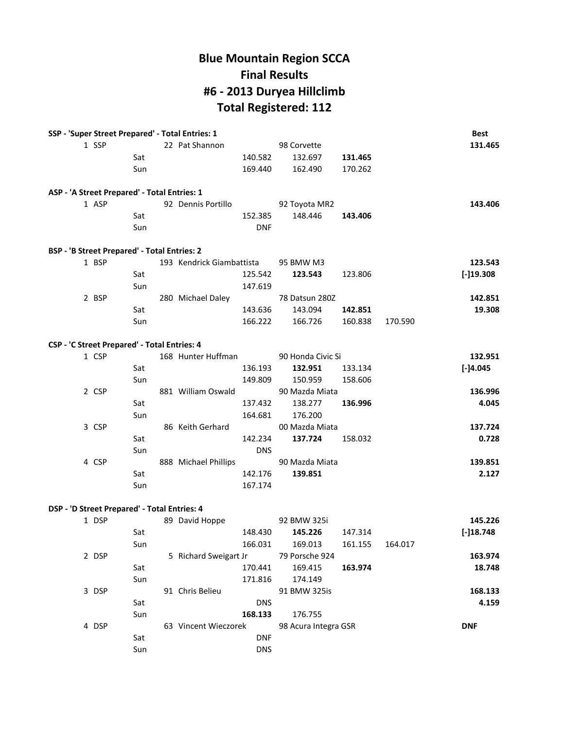# **Blue Mountain Region SCCA Final Results #6 - 2013 Duryea Hillclimb Total Registered: 112**

| SSP - 'Super Street Prepared' - Total Entries: 1    |       |     |                                      |            |                      |                 |         | <b>Best</b>  |
|-----------------------------------------------------|-------|-----|--------------------------------------|------------|----------------------|-----------------|---------|--------------|
|                                                     | 1 SSP |     | 22 Pat Shannon                       |            | 98 Corvette          |                 |         | 131.465      |
|                                                     |       | Sat |                                      | 140.582    | 132.697              | 131.465         |         |              |
|                                                     |       | Sun |                                      | 169.440    | 162.490              | 170.262         |         |              |
| ASP - 'A Street Prepared' - Total Entries: 1        |       |     |                                      |            |                      |                 |         |              |
|                                                     | 1 ASP |     | 92 Dennis Portillo                   |            | 92 Toyota MR2        |                 |         | 143.406      |
|                                                     |       | Sat |                                      | 152.385    | 148.446              | 143.406         |         |              |
|                                                     |       | Sun |                                      | <b>DNF</b> |                      |                 |         |              |
| <b>BSP - 'B Street Prepared' - Total Entries: 2</b> |       |     |                                      |            |                      |                 |         |              |
|                                                     | 1 BSP |     | 193 Kendrick Giambattista            |            | 95 BMW M3            |                 |         | 123.543      |
|                                                     |       | Sat |                                      | 125.542    | 123.543              | 123.806         |         | [-]19.308    |
|                                                     |       | Sun |                                      | 147.619    |                      |                 |         |              |
|                                                     | 2 BSP |     | 280 Michael Daley                    |            | 78 Datsun 280Z       |                 |         | 142.851      |
|                                                     |       | Sat |                                      | 143.636    | 143.094              | 142.851         |         | 19.308       |
|                                                     |       | Sun |                                      | 166.222    | 166.726              | 160.838         | 170.590 |              |
| CSP - 'C Street Prepared' - Total Entries: 4        |       |     |                                      |            |                      |                 |         |              |
|                                                     | 1 CSP |     | 168 Hunter Huffman                   |            | 90 Honda Civic Si    |                 |         | 132.951      |
|                                                     |       | Sat |                                      | 136.193    | 132.951              | 133.134         |         | $[-]4.045$   |
|                                                     |       | Sun |                                      | 149.809    | 150.959              | 158.606         |         |              |
|                                                     | 2 CSP |     | 881 William Oswald                   |            | 90 Mazda Miata       |                 |         | 136.996      |
|                                                     |       | Sat |                                      | 137.432    | 138.277              | 136.996         |         | 4.045        |
|                                                     |       | Sun |                                      | 164.681    | 176.200              |                 |         |              |
|                                                     | 3 CSP |     | 86 Keith Gerhard                     |            | 00 Mazda Miata       |                 |         | 137.724      |
|                                                     |       | Sat |                                      | 142.234    | 137.724              | 158.032         |         | 0.728        |
|                                                     |       | Sun |                                      | <b>DNS</b> |                      |                 |         |              |
|                                                     | 4 CSP |     | 888 Michael Phillips                 |            | 90 Mazda Miata       |                 |         | 139.851      |
|                                                     |       | Sat |                                      | 142.176    | 139.851              |                 |         | 2.127        |
|                                                     |       | Sun |                                      | 167.174    |                      |                 |         |              |
| DSP - 'D Street Prepared' - Total Entries: 4        |       |     |                                      |            |                      |                 |         |              |
|                                                     | 1 DSP |     | 89 David Hoppe                       |            | 92 BMW 325i          |                 |         | 145.226      |
|                                                     |       | Sat |                                      | 148.430    | 145.226              | 147.314         |         | $[-]18.748]$ |
|                                                     |       | Sun |                                      |            | 166.031 169.013      | 161.155 164.017 |         |              |
|                                                     | 2 DSP |     | 5 Richard Sweigart Jr 79 Porsche 924 |            |                      |                 |         | 163.974      |
|                                                     |       | Sat |                                      | 170.441    | 169.415              | 163.974         |         | 18.748       |
|                                                     |       | Sun |                                      | 171.816    | 174.149              |                 |         |              |
|                                                     | 3 DSP |     | 91 Chris Belieu                      |            | 91 BMW 325is         |                 |         | 168.133      |
|                                                     |       | Sat |                                      | <b>DNS</b> |                      |                 |         | 4.159        |
|                                                     |       | Sun |                                      | 168.133    | 176.755              |                 |         |              |
|                                                     | 4 DSP |     | 63 Vincent Wieczorek                 |            | 98 Acura Integra GSR |                 |         | <b>DNF</b>   |
|                                                     |       | Sat |                                      | <b>DNF</b> |                      |                 |         |              |
|                                                     |       | Sun |                                      | <b>DNS</b> |                      |                 |         |              |
|                                                     |       |     |                                      |            |                      |                 |         |              |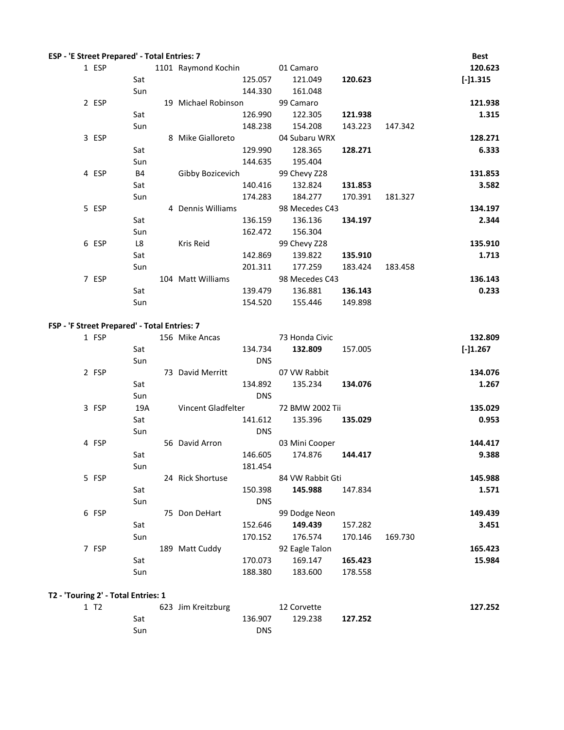|                  | ESP - 'E Street Prepared' - Total Entries: 7 |                               |            |                  |         |         | <b>Best</b> |
|------------------|----------------------------------------------|-------------------------------|------------|------------------|---------|---------|-------------|
| 1 ESP            |                                              | 1101 Raymond Kochin 01 Camaro |            |                  |         |         | 120.623     |
|                  | Sat                                          |                               | 125.057    | 121.049          | 120.623 |         | $[-]1.315$  |
|                  | Sun                                          |                               | 144.330    | 161.048          |         |         |             |
| 2 ESP            |                                              | 19 Michael Robinson           |            | 99 Camaro        |         |         | 121.938     |
|                  | Sat                                          |                               | 126.990    | 122.305          | 121.938 |         | 1.315       |
|                  | Sun                                          |                               | 148.238    | 154.208          | 143.223 | 147.342 |             |
| 3 ESP            |                                              | 8 Mike Gialloreto             |            | 04 Subaru WRX    |         |         | 128.271     |
|                  | Sat                                          |                               | 129.990    | 128.365          | 128.271 |         | 6.333       |
|                  | Sun                                          |                               | 144.635    | 195.404          |         |         |             |
| 4 ESP            | <b>B4</b>                                    | Gibby Bozicevich              |            | 99 Chevy Z28     |         |         | 131.853     |
|                  | Sat                                          |                               | 140.416    | 132.824          | 131.853 |         | 3.582       |
|                  | Sun                                          |                               | 174.283    | 184.277          | 170.391 | 181.327 |             |
| 5 ESP            |                                              | 4 Dennis Williams             |            | 98 Mecedes C43   |         |         | 134.197     |
|                  | Sat                                          |                               | 136.159    | 136.136          | 134.197 |         | 2.344       |
|                  | Sun                                          |                               | 162.472    | 156.304          |         |         |             |
| 6 ESP            | L8                                           | Kris Reid                     |            | 99 Chevy Z28     |         |         | 135.910     |
|                  | Sat                                          |                               | 142.869    | 139.822          | 135.910 |         | 1.713       |
|                  | Sun                                          |                               | 201.311    | 177.259          | 183.424 | 183.458 |             |
| 7 ESP            |                                              | 104 Matt Williams             |            | 98 Mecedes C43   |         |         | 136.143     |
|                  | Sat                                          |                               | 139.479    | 136.881 136.143  |         |         | 0.233       |
|                  | Sun                                          |                               | 154.520    | 155.446 149.898  |         |         |             |
|                  | FSP - 'F Street Prepared' - Total Entries: 7 |                               |            |                  |         |         |             |
| 1 FSP            |                                              | 156 Mike Ancas                |            | 73 Honda Civic   |         |         | 132.809     |
|                  | Sat                                          |                               | 134.734    | 132.809          | 157.005 |         | $[-]1.267$  |
|                  | Sun                                          |                               | <b>DNS</b> |                  |         |         |             |
| 2 FSP            |                                              | 73 David Merritt              |            | 07 VW Rabbit     |         |         | 134.076     |
|                  | Sat                                          |                               | 134.892    | 135.234 134.076  |         |         | 1.267       |
|                  | Sun                                          |                               | <b>DNS</b> |                  |         |         |             |
| 3 FSP            | 19A                                          | Vincent Gladfelter            |            | 72 BMW 2002 Tii  |         |         | 135.029     |
|                  | Sat                                          |                               | 141.612    | 135.396          | 135.029 |         | 0.953       |
|                  | Sun                                          |                               | <b>DNS</b> |                  |         |         |             |
| 4 FSP            |                                              | 56 David Arron                |            | 03 Mini Cooper   |         |         | 144.417     |
|                  | Sat                                          |                               | 146.605    | 174.876          | 144.417 |         | 9.388       |
|                  | Sun                                          |                               | 181.454    |                  |         |         |             |
| 5 FSP            |                                              | 24 Rick Shortuse              |            | 84 VW Rabbit Gti |         |         | 145.988     |
|                  | Sat                                          |                               | 150.398    | 145.988          | 147.834 |         | 1.571       |
|                  | Sun                                          |                               | <b>DNS</b> |                  |         |         |             |
| 6 FSP            |                                              | 75 Don DeHart                 |            | 99 Dodge Neon    |         |         | 149.439     |
|                  | Sat                                          |                               | 152.646    | 149.439          | 157.282 |         | 3.451       |
|                  | Sun                                          |                               | 170.152    | 176.574          | 170.146 | 169.730 |             |
| 7 FSP            |                                              | 189 Matt Cuddy                |            | 92 Eagle Talon   |         |         | 165.423     |
|                  | Sat                                          |                               | 170.073    | 169.147          | 165.423 |         | 15.984      |
|                  | Sun                                          |                               | 188.380    | 183.600          | 178.558 |         |             |
|                  |                                              |                               |            |                  |         |         |             |
|                  | T2 - 'Touring 2' - Total Entries: 1          |                               |            |                  |         |         |             |
| 1 T <sub>2</sub> |                                              | 623 Jim Kreitzburg            |            | 12 Corvette      |         |         | 127.252     |

Sat 136.907 129.238 **127.252**

Sun DNS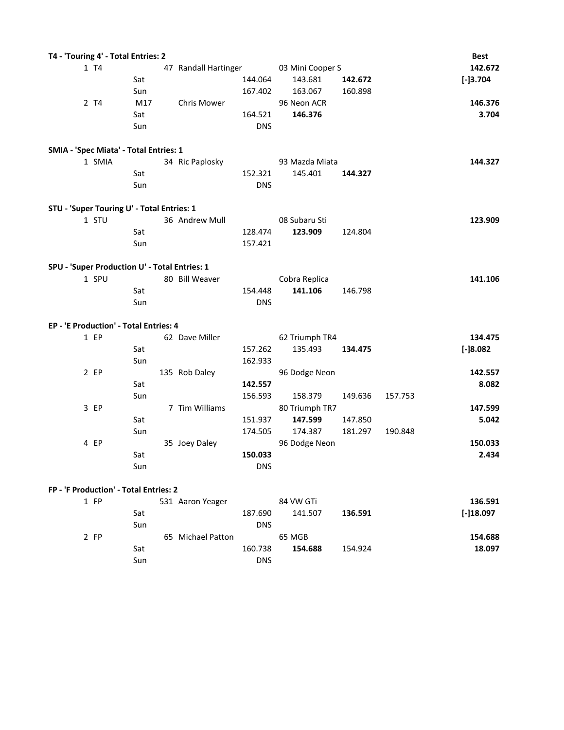| T4 - 'Touring 4' - Total Entries: 2           |     |                      |            |                  |         |         | <b>Best</b> |
|-----------------------------------------------|-----|----------------------|------------|------------------|---------|---------|-------------|
| 1 T4                                          |     | 47 Randall Hartinger |            | 03 Mini Cooper S |         |         | 142.672     |
|                                               | Sat |                      | 144.064    | 143.681          | 142.672 |         | $[-]3.704$  |
|                                               | Sun |                      | 167.402    | 163.067          | 160.898 |         |             |
| 2 T4                                          | M17 | <b>Chris Mower</b>   |            | 96 Neon ACR      |         |         | 146.376     |
|                                               | Sat |                      | 164.521    | 146.376          |         |         | 3.704       |
|                                               | Sun |                      | <b>DNS</b> |                  |         |         |             |
| SMIA - 'Spec Miata' - Total Entries: 1        |     |                      |            |                  |         |         |             |
| 1 SMIA                                        |     | 34 Ric Paplosky      |            | 93 Mazda Miata   |         |         | 144.327     |
|                                               | Sat |                      | 152.321    | 145.401          | 144.327 |         |             |
|                                               | Sun |                      | <b>DNS</b> |                  |         |         |             |
| STU - 'Super Touring U' - Total Entries: 1    |     |                      |            |                  |         |         |             |
| 1 STU                                         |     | 36 Andrew Mull       |            | 08 Subaru Sti    |         |         | 123.909     |
|                                               | Sat |                      | 128.474    | 123.909          | 124.804 |         |             |
|                                               | Sun |                      | 157.421    |                  |         |         |             |
| SPU - 'Super Production U' - Total Entries: 1 |     |                      |            |                  |         |         |             |
| 1 SPU                                         |     | 80 Bill Weaver       |            | Cobra Replica    |         |         | 141.106     |
|                                               | Sat |                      | 154.448    | 141.106          | 146.798 |         |             |
|                                               | Sun |                      | <b>DNS</b> |                  |         |         |             |
| EP - 'E Production' - Total Entries: 4        |     |                      |            |                  |         |         |             |
| 1 EP                                          |     | 62 Dave Miller       |            | 62 Triumph TR4   |         |         | 134.475     |
|                                               | Sat |                      | 157.262    | 135.493          | 134.475 |         | $[-]8.082$  |
|                                               | Sun |                      | 162.933    |                  |         |         |             |
| $2$ EP                                        |     | 135 Rob Daley        |            | 96 Dodge Neon    |         |         | 142.557     |
|                                               | Sat |                      | 142.557    |                  |         |         | 8.082       |
|                                               | Sun |                      | 156.593    | 158.379          | 149.636 | 157.753 |             |
| 3 EP                                          |     | 7 Tim Williams       |            | 80 Triumph TR7   |         |         | 147.599     |
|                                               | Sat |                      | 151.937    | 147.599          | 147.850 |         | 5.042       |
|                                               | Sun |                      | 174.505    | 174.387          | 181.297 | 190.848 |             |
| 4 EP                                          |     | 35 Joey Daley        |            | 96 Dodge Neon    |         |         | 150.033     |
|                                               | Sat |                      | 150.033    |                  |         |         | 2.434       |
|                                               | Sun |                      | <b>DNS</b> |                  |         |         |             |
| FP - 'F Production' - Total Entries: 2        |     |                      |            |                  |         |         |             |

| 1 FP |     | 531 Aaron Yeager  |            | 84 VW GTi |         | 136.591     |
|------|-----|-------------------|------------|-----------|---------|-------------|
|      | Sat |                   | 187.690    | 141.507   | 136.591 | $[-]18.097$ |
|      | Sun |                   | <b>DNS</b> |           |         |             |
| 2 FP |     | 65 Michael Patton |            | 65 MGB    |         | 154.688     |
|      | Sat |                   | 160.738    | 154.688   | 154.924 | 18.097      |
|      | Sun |                   | <b>DNS</b> |           |         |             |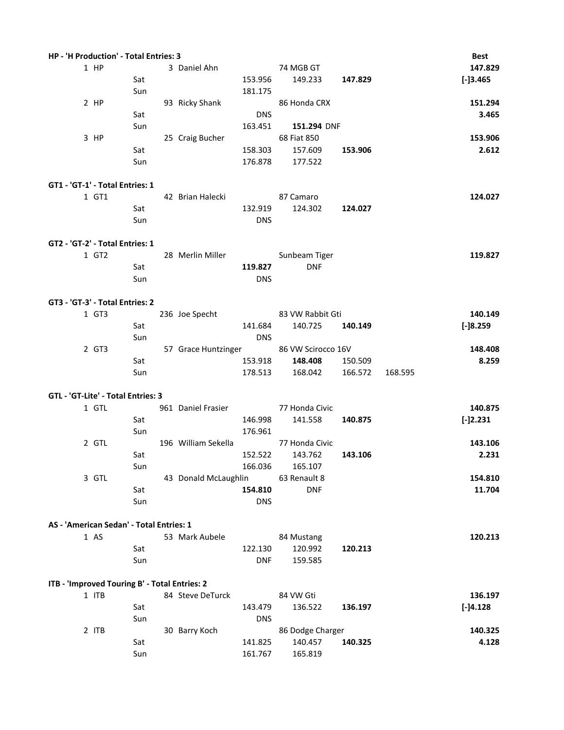| HP - 'H Production' - Total Entries: 3        |     |                      |            |                                        |         |         | Best       |
|-----------------------------------------------|-----|----------------------|------------|----------------------------------------|---------|---------|------------|
| $1$ HP                                        |     | 3 Daniel Ahn         |            | 74 MGB GT                              |         |         | 147.829    |
|                                               | Sat |                      | 153.956    | 149.233                                | 147.829 |         | $[-]3.465$ |
|                                               | Sun |                      | 181.175    |                                        |         |         |            |
| $2$ HP                                        |     | 93 Ricky Shank       |            | 86 Honda CRX                           |         |         | 151.294    |
|                                               | Sat |                      | <b>DNS</b> |                                        |         |         | 3.465      |
|                                               | Sun |                      | 163.451    | 151.294 DNF                            |         |         |            |
| 3 HP                                          |     | 25 Craig Bucher      |            | 68 Fiat 850                            |         |         | 153.906    |
|                                               | Sat |                      | 158.303    | 157.609                                | 153.906 |         | 2.612      |
|                                               | Sun |                      | 176.878    | 177.522                                |         |         |            |
|                                               |     |                      |            |                                        |         |         |            |
| GT1 - 'GT-1' - Total Entries: 1               |     |                      |            |                                        |         |         |            |
| 1 GT1                                         |     | 42 Brian Halecki     |            | 87 Camaro                              |         |         | 124.027    |
|                                               | Sat |                      | 132.919    | 124.302                                | 124.027 |         |            |
|                                               | Sun |                      | <b>DNS</b> |                                        |         |         |            |
|                                               |     |                      |            |                                        |         |         |            |
| GT2 - 'GT-2' - Total Entries: 1               |     |                      |            |                                        |         |         |            |
| 1 GT2                                         |     | 28 Merlin Miller     |            | Sunbeam Tiger                          |         |         | 119.827    |
|                                               | Sat |                      | 119.827    | <b>DNF</b>                             |         |         |            |
|                                               | Sun |                      | <b>DNS</b> |                                        |         |         |            |
|                                               |     |                      |            |                                        |         |         |            |
| GT3 - 'GT-3' - Total Entries: 2               |     |                      |            |                                        |         |         |            |
| 1 GT3                                         |     | 236 Joe Specht       |            | 83 VW Rabbit Gti                       |         |         | 140.149    |
|                                               | Sat |                      | 141.684    | 140.725                                | 140.149 |         | $[-]8.259$ |
|                                               | Sun |                      | <b>DNS</b> |                                        |         |         |            |
| 2 GT3                                         |     |                      |            | 57 Grace Huntzinger 86 VW Scirocco 16V |         |         | 148.408    |
|                                               | Sat |                      | 153.918    | 148.408                                | 150.509 |         | 8.259      |
|                                               | Sun |                      | 178.513    | 168.042                                | 166.572 | 168.595 |            |
| GTL - 'GT-Lite' - Total Entries: 3            |     |                      |            |                                        |         |         |            |
| 1 GTL                                         |     | 961 Daniel Frasier   |            | 77 Honda Civic                         |         |         | 140.875    |
|                                               | Sat |                      | 146.998    | 141.558                                | 140.875 |         | $[-]2.231$ |
|                                               | Sun |                      | 176.961    |                                        |         |         |            |
| 2 GTL                                         |     | 196 William Sekella  |            | 77 Honda Civic                         |         |         | 143.106    |
|                                               | Sat |                      | 152.522    | 143.762                                | 143.106 |         | 2.231      |
|                                               | Sun |                      | 166.036    | 165.107                                |         |         |            |
| 3 GTL                                         |     | 43 Donald McLaughlin |            | 63 Renault 8                           |         |         | 154.810    |
|                                               | Sat |                      | 154.810    | <b>DNF</b>                             |         |         | 11.704     |
|                                               | Sun |                      | <b>DNS</b> |                                        |         |         |            |
|                                               |     |                      |            |                                        |         |         |            |
| AS - 'American Sedan' - Total Entries: 1      |     |                      |            |                                        |         |         |            |
| 1 AS                                          |     | 53 Mark Aubele       |            | 84 Mustang                             |         |         | 120.213    |
|                                               | Sat |                      | 122.130    | 120.992                                | 120.213 |         |            |
|                                               | Sun |                      | <b>DNF</b> | 159.585                                |         |         |            |
|                                               |     |                      |            |                                        |         |         |            |
| ITB - 'Improved Touring B' - Total Entries: 2 |     |                      |            |                                        |         |         |            |
| 1 ITB                                         |     | 84 Steve DeTurck     |            | 84 VW Gti                              |         |         | 136.197    |
|                                               | Sat |                      | 143.479    | 136.522                                | 136.197 |         | $[-]4.128$ |
|                                               | Sun |                      | <b>DNS</b> |                                        |         |         |            |
| 2 ITB                                         |     | 30 Barry Koch        |            | 86 Dodge Charger                       |         |         | 140.325    |
|                                               | Sat |                      | 141.825    | 140.457                                | 140.325 |         | 4.128      |
|                                               | Sun |                      | 161.767    | 165.819                                |         |         |            |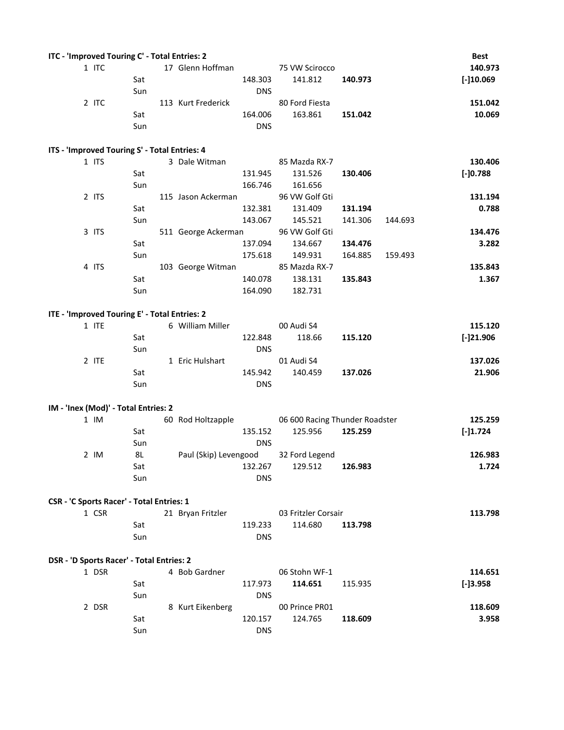| 1 ITC<br>17 Glenn Hoffman<br>75 VW Scirocco<br>148.303<br>141.812<br>140.973<br>Sat<br>Sun<br><b>DNS</b><br>2 ITC<br>113 Kurt Frederick<br>80 Ford Fiesta<br>163.861<br>Sat<br>164.006<br>151.042<br>Sun<br><b>DNS</b><br>ITS - 'Improved Touring S' - Total Entries: 4<br>1 ITS<br>3 Dale Witman<br>85 Mazda RX-7<br>$[-]0.788]$<br>Sat<br>131.945<br>131.526<br>130.406<br>166.746<br>161.656<br>Sun<br>2 ITS<br>96 VW Golf Gti<br>115 Jason Ackerman<br>Sat<br>132.381<br>131.409<br>131.194<br>145.521<br>Sun<br>143.067<br>141.306<br>144.693<br>3 ITS<br>96 VW Golf Gti<br>511 George Ackerman<br>Sat<br>137.094<br>134.667<br>134.476<br>149.931<br>Sun<br>175.618<br>164.885<br>159.493<br>4 ITS<br>85 Mazda RX-7<br>103 George Witman<br>138.131<br>Sat<br>140.078<br>135.843<br>Sun<br>164.090<br>182.731<br>ITE - 'Improved Touring E' - Total Entries: 2<br>1 ITE<br>6 William Miller<br>00 Audi S4<br>Sat<br>122.848<br>118.66<br>115.120<br>Sun<br><b>DNS</b><br>2 ITE<br>01 Audi S4<br>1 Eric Hulshart<br>140.459<br>Sat<br>145.942<br>137.026<br>Sun<br><b>DNS</b><br>IM - 'Inex (Mod)' - Total Entries: 2<br>$1$ IM<br>60 Rod Holtzapple<br>06 600 Racing Thunder Roadster<br>Sat<br>125.956<br>125.259<br>135.152<br>$[-]1.724$<br>Sun<br><b>DNS</b> | ITC - 'Improved Touring C' - Total Entries: 2 |     |  |                |  | <b>Best</b>  |
|------------------------------------------------------------------------------------------------------------------------------------------------------------------------------------------------------------------------------------------------------------------------------------------------------------------------------------------------------------------------------------------------------------------------------------------------------------------------------------------------------------------------------------------------------------------------------------------------------------------------------------------------------------------------------------------------------------------------------------------------------------------------------------------------------------------------------------------------------------------------------------------------------------------------------------------------------------------------------------------------------------------------------------------------------------------------------------------------------------------------------------------------------------------------------------------------------------------------------------------------------------------------|-----------------------------------------------|-----|--|----------------|--|--------------|
|                                                                                                                                                                                                                                                                                                                                                                                                                                                                                                                                                                                                                                                                                                                                                                                                                                                                                                                                                                                                                                                                                                                                                                                                                                                                        |                                               |     |  |                |  | 140.973      |
|                                                                                                                                                                                                                                                                                                                                                                                                                                                                                                                                                                                                                                                                                                                                                                                                                                                                                                                                                                                                                                                                                                                                                                                                                                                                        |                                               |     |  |                |  | $[-]10.069]$ |
|                                                                                                                                                                                                                                                                                                                                                                                                                                                                                                                                                                                                                                                                                                                                                                                                                                                                                                                                                                                                                                                                                                                                                                                                                                                                        |                                               |     |  |                |  |              |
|                                                                                                                                                                                                                                                                                                                                                                                                                                                                                                                                                                                                                                                                                                                                                                                                                                                                                                                                                                                                                                                                                                                                                                                                                                                                        |                                               |     |  |                |  | 151.042      |
|                                                                                                                                                                                                                                                                                                                                                                                                                                                                                                                                                                                                                                                                                                                                                                                                                                                                                                                                                                                                                                                                                                                                                                                                                                                                        |                                               |     |  |                |  | 10.069       |
|                                                                                                                                                                                                                                                                                                                                                                                                                                                                                                                                                                                                                                                                                                                                                                                                                                                                                                                                                                                                                                                                                                                                                                                                                                                                        |                                               |     |  |                |  |              |
|                                                                                                                                                                                                                                                                                                                                                                                                                                                                                                                                                                                                                                                                                                                                                                                                                                                                                                                                                                                                                                                                                                                                                                                                                                                                        |                                               |     |  |                |  |              |
|                                                                                                                                                                                                                                                                                                                                                                                                                                                                                                                                                                                                                                                                                                                                                                                                                                                                                                                                                                                                                                                                                                                                                                                                                                                                        |                                               |     |  |                |  |              |
|                                                                                                                                                                                                                                                                                                                                                                                                                                                                                                                                                                                                                                                                                                                                                                                                                                                                                                                                                                                                                                                                                                                                                                                                                                                                        |                                               |     |  |                |  | 130.406      |
|                                                                                                                                                                                                                                                                                                                                                                                                                                                                                                                                                                                                                                                                                                                                                                                                                                                                                                                                                                                                                                                                                                                                                                                                                                                                        |                                               |     |  |                |  |              |
|                                                                                                                                                                                                                                                                                                                                                                                                                                                                                                                                                                                                                                                                                                                                                                                                                                                                                                                                                                                                                                                                                                                                                                                                                                                                        |                                               |     |  |                |  |              |
|                                                                                                                                                                                                                                                                                                                                                                                                                                                                                                                                                                                                                                                                                                                                                                                                                                                                                                                                                                                                                                                                                                                                                                                                                                                                        |                                               |     |  |                |  | 131.194      |
|                                                                                                                                                                                                                                                                                                                                                                                                                                                                                                                                                                                                                                                                                                                                                                                                                                                                                                                                                                                                                                                                                                                                                                                                                                                                        |                                               |     |  |                |  | 0.788        |
|                                                                                                                                                                                                                                                                                                                                                                                                                                                                                                                                                                                                                                                                                                                                                                                                                                                                                                                                                                                                                                                                                                                                                                                                                                                                        |                                               |     |  |                |  |              |
|                                                                                                                                                                                                                                                                                                                                                                                                                                                                                                                                                                                                                                                                                                                                                                                                                                                                                                                                                                                                                                                                                                                                                                                                                                                                        |                                               |     |  |                |  | 134.476      |
|                                                                                                                                                                                                                                                                                                                                                                                                                                                                                                                                                                                                                                                                                                                                                                                                                                                                                                                                                                                                                                                                                                                                                                                                                                                                        |                                               |     |  |                |  | 3.282        |
|                                                                                                                                                                                                                                                                                                                                                                                                                                                                                                                                                                                                                                                                                                                                                                                                                                                                                                                                                                                                                                                                                                                                                                                                                                                                        |                                               |     |  |                |  |              |
|                                                                                                                                                                                                                                                                                                                                                                                                                                                                                                                                                                                                                                                                                                                                                                                                                                                                                                                                                                                                                                                                                                                                                                                                                                                                        |                                               |     |  |                |  | 135.843      |
|                                                                                                                                                                                                                                                                                                                                                                                                                                                                                                                                                                                                                                                                                                                                                                                                                                                                                                                                                                                                                                                                                                                                                                                                                                                                        |                                               |     |  |                |  | 1.367        |
|                                                                                                                                                                                                                                                                                                                                                                                                                                                                                                                                                                                                                                                                                                                                                                                                                                                                                                                                                                                                                                                                                                                                                                                                                                                                        |                                               |     |  |                |  |              |
|                                                                                                                                                                                                                                                                                                                                                                                                                                                                                                                                                                                                                                                                                                                                                                                                                                                                                                                                                                                                                                                                                                                                                                                                                                                                        |                                               |     |  |                |  |              |
|                                                                                                                                                                                                                                                                                                                                                                                                                                                                                                                                                                                                                                                                                                                                                                                                                                                                                                                                                                                                                                                                                                                                                                                                                                                                        |                                               |     |  |                |  |              |
|                                                                                                                                                                                                                                                                                                                                                                                                                                                                                                                                                                                                                                                                                                                                                                                                                                                                                                                                                                                                                                                                                                                                                                                                                                                                        |                                               |     |  |                |  | 115.120      |
|                                                                                                                                                                                                                                                                                                                                                                                                                                                                                                                                                                                                                                                                                                                                                                                                                                                                                                                                                                                                                                                                                                                                                                                                                                                                        |                                               |     |  |                |  | $[-]21.906$  |
|                                                                                                                                                                                                                                                                                                                                                                                                                                                                                                                                                                                                                                                                                                                                                                                                                                                                                                                                                                                                                                                                                                                                                                                                                                                                        |                                               |     |  |                |  |              |
|                                                                                                                                                                                                                                                                                                                                                                                                                                                                                                                                                                                                                                                                                                                                                                                                                                                                                                                                                                                                                                                                                                                                                                                                                                                                        |                                               |     |  |                |  | 137.026      |
|                                                                                                                                                                                                                                                                                                                                                                                                                                                                                                                                                                                                                                                                                                                                                                                                                                                                                                                                                                                                                                                                                                                                                                                                                                                                        |                                               |     |  |                |  | 21.906       |
|                                                                                                                                                                                                                                                                                                                                                                                                                                                                                                                                                                                                                                                                                                                                                                                                                                                                                                                                                                                                                                                                                                                                                                                                                                                                        |                                               |     |  |                |  |              |
|                                                                                                                                                                                                                                                                                                                                                                                                                                                                                                                                                                                                                                                                                                                                                                                                                                                                                                                                                                                                                                                                                                                                                                                                                                                                        |                                               |     |  |                |  |              |
|                                                                                                                                                                                                                                                                                                                                                                                                                                                                                                                                                                                                                                                                                                                                                                                                                                                                                                                                                                                                                                                                                                                                                                                                                                                                        |                                               |     |  |                |  |              |
|                                                                                                                                                                                                                                                                                                                                                                                                                                                                                                                                                                                                                                                                                                                                                                                                                                                                                                                                                                                                                                                                                                                                                                                                                                                                        |                                               |     |  |                |  | 125.259      |
|                                                                                                                                                                                                                                                                                                                                                                                                                                                                                                                                                                                                                                                                                                                                                                                                                                                                                                                                                                                                                                                                                                                                                                                                                                                                        |                                               |     |  |                |  |              |
|                                                                                                                                                                                                                                                                                                                                                                                                                                                                                                                                                                                                                                                                                                                                                                                                                                                                                                                                                                                                                                                                                                                                                                                                                                                                        |                                               |     |  |                |  |              |
| Paul (Skip) Levengood                                                                                                                                                                                                                                                                                                                                                                                                                                                                                                                                                                                                                                                                                                                                                                                                                                                                                                                                                                                                                                                                                                                                                                                                                                                  | $2$ IM                                        | 8L  |  | 32 Ford Legend |  | 126.983      |
| 132.267<br>129.512<br>126.983<br>Sat                                                                                                                                                                                                                                                                                                                                                                                                                                                                                                                                                                                                                                                                                                                                                                                                                                                                                                                                                                                                                                                                                                                                                                                                                                   |                                               |     |  |                |  | 1.724        |
| Sun<br><b>DNS</b>                                                                                                                                                                                                                                                                                                                                                                                                                                                                                                                                                                                                                                                                                                                                                                                                                                                                                                                                                                                                                                                                                                                                                                                                                                                      |                                               |     |  |                |  |              |
|                                                                                                                                                                                                                                                                                                                                                                                                                                                                                                                                                                                                                                                                                                                                                                                                                                                                                                                                                                                                                                                                                                                                                                                                                                                                        |                                               |     |  |                |  |              |
| CSR - 'C Sports Racer' - Total Entries: 1                                                                                                                                                                                                                                                                                                                                                                                                                                                                                                                                                                                                                                                                                                                                                                                                                                                                                                                                                                                                                                                                                                                                                                                                                              |                                               |     |  |                |  |              |
| 1 CSR<br>21 Bryan Fritzler<br>03 Fritzler Corsair                                                                                                                                                                                                                                                                                                                                                                                                                                                                                                                                                                                                                                                                                                                                                                                                                                                                                                                                                                                                                                                                                                                                                                                                                      |                                               |     |  |                |  | 113.798      |
| Sat<br>119.233<br>114.680<br>113.798                                                                                                                                                                                                                                                                                                                                                                                                                                                                                                                                                                                                                                                                                                                                                                                                                                                                                                                                                                                                                                                                                                                                                                                                                                   |                                               |     |  |                |  |              |
| Sun<br><b>DNS</b>                                                                                                                                                                                                                                                                                                                                                                                                                                                                                                                                                                                                                                                                                                                                                                                                                                                                                                                                                                                                                                                                                                                                                                                                                                                      |                                               |     |  |                |  |              |
|                                                                                                                                                                                                                                                                                                                                                                                                                                                                                                                                                                                                                                                                                                                                                                                                                                                                                                                                                                                                                                                                                                                                                                                                                                                                        |                                               |     |  |                |  |              |
| DSR - 'D Sports Racer' - Total Entries: 2                                                                                                                                                                                                                                                                                                                                                                                                                                                                                                                                                                                                                                                                                                                                                                                                                                                                                                                                                                                                                                                                                                                                                                                                                              |                                               |     |  |                |  |              |
| 1 DSR<br>4 Bob Gardner<br>06 Stohn WF-1                                                                                                                                                                                                                                                                                                                                                                                                                                                                                                                                                                                                                                                                                                                                                                                                                                                                                                                                                                                                                                                                                                                                                                                                                                |                                               |     |  |                |  | 114.651      |
| 117.973<br>114.651<br>$[-]3.958]$<br>Sat<br>115.935                                                                                                                                                                                                                                                                                                                                                                                                                                                                                                                                                                                                                                                                                                                                                                                                                                                                                                                                                                                                                                                                                                                                                                                                                    |                                               |     |  |                |  |              |
| Sun<br><b>DNS</b>                                                                                                                                                                                                                                                                                                                                                                                                                                                                                                                                                                                                                                                                                                                                                                                                                                                                                                                                                                                                                                                                                                                                                                                                                                                      |                                               |     |  |                |  |              |
| 2 DSR<br>8 Kurt Eikenberg<br>00 Prince PR01                                                                                                                                                                                                                                                                                                                                                                                                                                                                                                                                                                                                                                                                                                                                                                                                                                                                                                                                                                                                                                                                                                                                                                                                                            |                                               |     |  |                |  | 118.609      |
| 120.157<br>124.765<br>118.609                                                                                                                                                                                                                                                                                                                                                                                                                                                                                                                                                                                                                                                                                                                                                                                                                                                                                                                                                                                                                                                                                                                                                                                                                                          |                                               |     |  |                |  |              |
|                                                                                                                                                                                                                                                                                                                                                                                                                                                                                                                                                                                                                                                                                                                                                                                                                                                                                                                                                                                                                                                                                                                                                                                                                                                                        |                                               | Sat |  |                |  | 3.958        |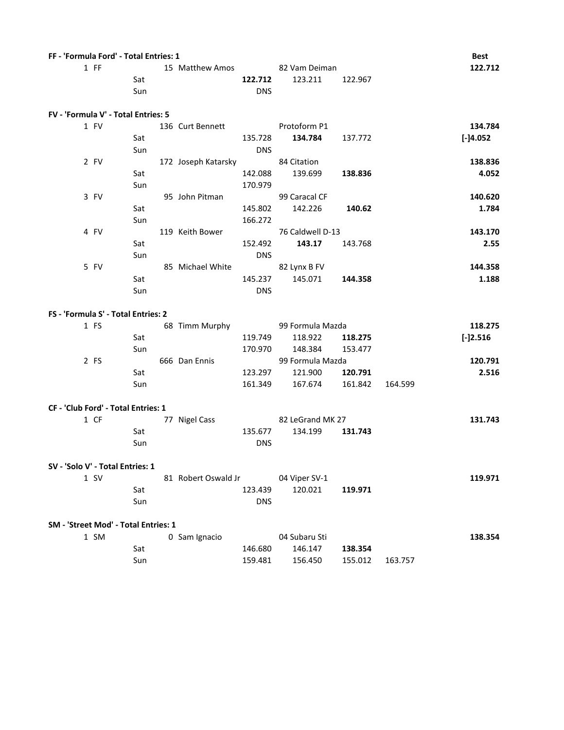| FF - 'Formula Ford' - Total Entries: 1 |     |                               |            |                  |         |         | <b>Best</b> |
|----------------------------------------|-----|-------------------------------|------------|------------------|---------|---------|-------------|
| $1$ FF                                 |     | 15 Matthew Amos 82 Vam Deiman |            |                  |         |         | 122.712     |
|                                        | Sat |                               | 122.712    | 123.211          | 122.967 |         |             |
|                                        | Sun |                               | <b>DNS</b> |                  |         |         |             |
|                                        |     |                               |            |                  |         |         |             |
| FV - 'Formula V' - Total Entries: 5    |     |                               |            |                  |         |         |             |
| 1 FV                                   |     | 136 Curt Bennett              |            | Protoform P1     |         |         | 134.784     |
|                                        | Sat |                               | 135.728    | 134.784          | 137.772 |         | [-]4.052    |
|                                        | Sun |                               | <b>DNS</b> |                  |         |         |             |
| 2 FV                                   |     | 172 Joseph Katarsky           |            | 84 Citation      |         |         | 138.836     |
|                                        | Sat |                               | 142.088    | 139.699          | 138.836 |         | 4.052       |
|                                        | Sun |                               | 170.979    |                  |         |         |             |
| 3 FV                                   |     | 95 John Pitman                |            | 99 Caracal CF    |         |         | 140.620     |
|                                        | Sat |                               | 145.802    | 142.226          | 140.62  |         | 1.784       |
|                                        | Sun |                               | 166.272    |                  |         |         |             |
| 4 FV                                   |     | 119 Keith Bower               |            | 76 Caldwell D-13 |         |         | 143.170     |
|                                        | Sat |                               | 152.492    | 143.17           | 143.768 |         | 2.55        |
|                                        | Sun |                               | <b>DNS</b> |                  |         |         |             |
| 5 FV                                   |     | 85 Michael White              |            | 82 Lynx B FV     |         |         | 144.358     |
|                                        | Sat |                               | 145.237    | 145.071          | 144.358 |         | 1.188       |
|                                        | Sun |                               | <b>DNS</b> |                  |         |         |             |
|                                        |     |                               |            |                  |         |         |             |
| FS - 'Formula S' - Total Entries: 2    |     |                               |            |                  |         |         |             |
| 1 FS                                   |     | 68 Timm Murphy                |            | 99 Formula Mazda |         |         | 118.275     |
|                                        | Sat |                               | 119.749    | 118.922          | 118.275 |         | $[-]2.516$  |
|                                        | Sun |                               | 170.970    | 148.384          | 153.477 |         |             |
| $2$ FS                                 |     | 666 Dan Ennis                 |            | 99 Formula Mazda |         |         | 120.791     |
|                                        | Sat |                               | 123.297    | 121.900          | 120.791 |         | 2.516       |
|                                        | Sun |                               | 161.349    | 167.674          | 161.842 | 164.599 |             |
|                                        |     |                               |            |                  |         |         |             |
| CF - 'Club Ford' - Total Entries: 1    |     |                               |            |                  |         |         |             |
| 1 CF                                   |     | 77 Nigel Cass                 |            | 82 LeGrand MK 27 |         |         | 131.743     |
|                                        | Sat |                               | 135.677    | 134.199          | 131.743 |         |             |
|                                        | Sun |                               | <b>DNS</b> |                  |         |         |             |
|                                        |     |                               |            |                  |         |         |             |
| SV - 'Solo V' - Total Entries: 1       |     |                               |            |                  |         |         |             |
| $1$ SV                                 |     | 81 Robert Oswald Jr           |            | 04 Viper SV-1    |         |         | 119.971     |
|                                        | Sat |                               | 123.439    | 120.021          | 119.971 |         |             |
|                                        | Sun |                               | <b>DNS</b> |                  |         |         |             |
|                                        |     |                               |            |                  |         |         |             |
| SM - 'Street Mod' - Total Entries: 1   |     |                               |            |                  |         |         |             |
| 1 SM                                   |     | 0 Sam Ignacio                 |            | 04 Subaru Sti    |         |         | 138.354     |
|                                        | Sat |                               | 146.680    | 146.147          | 138.354 |         |             |
|                                        | Sun |                               | 159.481    | 156.450          | 155.012 | 163.757 |             |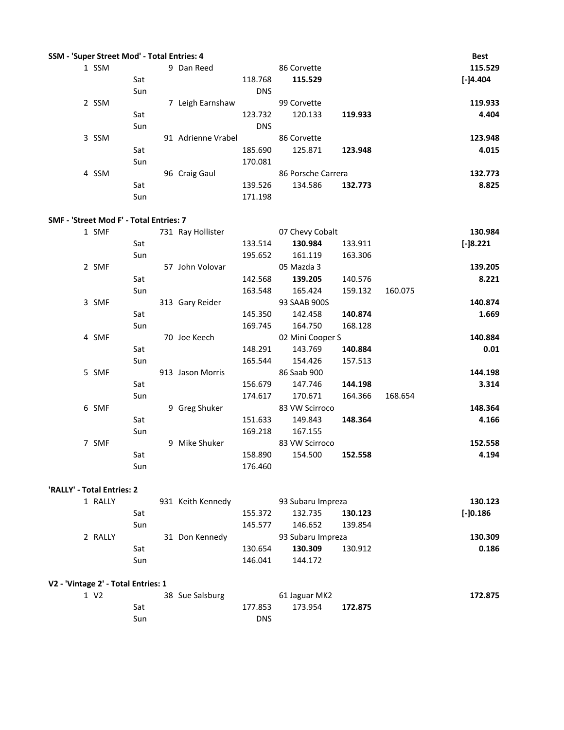| SSM - 'Super Street Mod' - Total Entries: 4 |       |     |                    |            |                    |         | <b>Best</b> |
|---------------------------------------------|-------|-----|--------------------|------------|--------------------|---------|-------------|
|                                             | 1 SSM |     | 9 Dan Reed         |            | 86 Corvette        |         | 115.529     |
|                                             |       | Sat |                    | 118.768    | 115.529            |         | $[-]4.404]$ |
|                                             |       | Sun |                    | <b>DNS</b> |                    |         |             |
|                                             | 2 SSM |     | Leigh Earnshaw     |            | 99 Corvette        |         | 119.933     |
|                                             |       | Sat |                    | 123.732    | 120.133            | 119.933 | 4.404       |
|                                             |       | Sun |                    | <b>DNS</b> |                    |         |             |
|                                             | 3 SSM |     | 91 Adrienne Vrabel |            | 86 Corvette        |         | 123.948     |
|                                             |       | Sat |                    | 185.690    | 125.871            | 123.948 | 4.015       |
|                                             |       | Sun |                    | 170.081    |                    |         |             |
|                                             | 4 SSM |     | 96 Craig Gaul      |            | 86 Porsche Carrera |         | 132.773     |
|                                             |       | Sat |                    | 139.526    | 134.586            | 132.773 | 8.825       |
|                                             |       | Sun |                    | 171.198    |                    |         |             |

### **SMF - 'Street Mod F' - Total Entries: 7**

| 1 SMF |     | 731 Ray Hollister |         | 07 Chevy Cobalt  |         |         | 130.984    |
|-------|-----|-------------------|---------|------------------|---------|---------|------------|
|       | Sat |                   | 133.514 | 130.984          | 133.911 |         | $[-]8.221$ |
|       | Sun |                   | 195.652 | 161.119          | 163.306 |         |            |
| 2 SMF |     | 57 John Volovar   |         | 05 Mazda 3       |         |         | 139.205    |
|       | Sat |                   | 142.568 | 139.205          | 140.576 |         | 8.221      |
|       | Sun |                   | 163.548 | 165.424          | 159.132 | 160.075 |            |
| 3 SMF |     | 313 Gary Reider   |         | 93 SAAB 900S     |         |         | 140.874    |
|       | Sat |                   | 145.350 | 142.458          | 140.874 |         | 1.669      |
|       | Sun |                   | 169.745 | 164.750          | 168.128 |         |            |
| 4 SMF |     | 70 Joe Keech      |         | 02 Mini Cooper S |         |         | 140.884    |
|       | Sat |                   | 148.291 | 143.769          | 140.884 |         | 0.01       |
|       | Sun |                   | 165.544 | 154.426          | 157.513 |         |            |
| 5 SMF |     | 913 Jason Morris  |         | 86 Saab 900      |         |         | 144.198    |
|       | Sat |                   | 156.679 | 147.746          | 144.198 |         | 3.314      |
|       | Sun |                   | 174.617 | 170.671          | 164.366 | 168.654 |            |
| 6 SMF |     | 9 Greg Shuker     |         | 83 VW Scirroco   |         |         | 148.364    |
|       | Sat |                   | 151.633 | 149.843          | 148.364 |         | 4.166      |
|       | Sun |                   | 169.218 | 167.155          |         |         |            |
| 7 SMF |     | 9 Mike Shuker     |         | 83 VW Scirroco   |         |         | 152.558    |
|       | Sat |                   | 158.890 | 154.500          | 152.558 |         | 4.194      |
|       | Sun |                   | 176.460 |                  |         |         |            |

#### **'RALLY' - Total Entries: 2**

| 1 RALLY |     | 931 Keith Kennedy |         | 93 Subaru Impreza |         | 130.123     |
|---------|-----|-------------------|---------|-------------------|---------|-------------|
|         | Sat |                   | 155.372 | 132.735           | 130.123 | $[-10.186]$ |
|         | Sun |                   | 145.577 | 146.652           | 139.854 |             |
| 2 RALLY |     | 31 Don Kennedy    |         | 93 Subaru Impreza |         | 130.309     |
|         | Sat |                   | 130.654 | 130.309           | 130.912 | 0.186       |
|         | Sun |                   | 146.041 | 144.172           |         |             |

# **V2 - 'Vintage 2' - Total Entries: 1**

| 1 V <sub>2</sub> |     | 38 Sue Salsburg |            | 61 Jaguar MK2 |         | 172.875 |
|------------------|-----|-----------------|------------|---------------|---------|---------|
|                  | Sat |                 | 177.853    | 173.954       | 172.875 |         |
|                  | Sun |                 | <b>DNS</b> |               |         |         |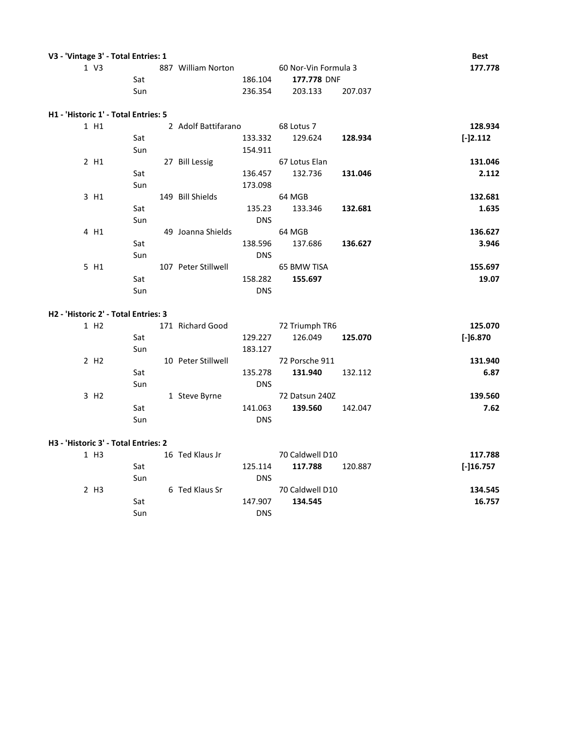| V3 - 'Vintage 3' - Total Entries: 1  |     |                     |            |                      |         | <b>Best</b> |
|--------------------------------------|-----|---------------------|------------|----------------------|---------|-------------|
| 1 V3                                 |     | 887 William Norton  |            | 60 Nor-Vin Formula 3 |         | 177.778     |
|                                      | Sat |                     | 186.104    | 177.778 DNF          |         |             |
|                                      | Sun |                     | 236.354    | 203.133              | 207.037 |             |
| H1 - 'Historic 1' - Total Entries: 5 |     |                     |            |                      |         |             |
| 1 H1                                 |     | 2 Adolf Battifarano |            | 68 Lotus 7           |         | 128.934     |
|                                      | Sat |                     | 133.332    | 129.624              | 128.934 | $[-]2.112$  |
|                                      | Sun |                     | 154.911    |                      |         |             |
| 2 H1                                 |     | 27 Bill Lessig      |            | 67 Lotus Elan        |         | 131.046     |
|                                      | Sat |                     | 136.457    | 132.736              | 131.046 | 2.112       |
|                                      | Sun |                     | 173.098    |                      |         |             |
| 3 H1                                 |     | 149 Bill Shields    |            | 64 MGB               |         | 132.681     |
|                                      | Sat |                     | 135.23     | 133.346              | 132.681 | 1.635       |
|                                      | Sun |                     | <b>DNS</b> |                      |         |             |
| 4 H1                                 |     | 49 Joanna Shields   |            | 64 MGB               |         | 136.627     |
|                                      | Sat |                     | 138.596    | 137.686              | 136.627 | 3.946       |
|                                      | Sun |                     | <b>DNS</b> |                      |         |             |
| 5 H1                                 |     | 107 Peter Stillwell |            | 65 BMW TISA          |         | 155.697     |
|                                      | Sat |                     | 158.282    | 155.697              |         | 19.07       |

Sun DNS

#### **H2 - 'Historic 2' - Total Entries: 3**

| 1 H <sub>2</sub> |     | 171 Richard Good   |            | 72 Triumph TR6 |         | 125.070    |
|------------------|-----|--------------------|------------|----------------|---------|------------|
|                  | Sat |                    | 129.227    | 126.049        | 125.070 | $[-]6.870$ |
|                  | Sun |                    | 183.127    |                |         |            |
| 2 H <sub>2</sub> |     | 10 Peter Stillwell |            | 72 Porsche 911 |         | 131.940    |
|                  | Sat |                    | 135.278    | 131.940        | 132.112 | 6.87       |
|                  | Sun |                    | <b>DNS</b> |                |         |            |
| 3 H <sub>2</sub> |     | 1 Steve Byrne      |            | 72 Datsun 240Z |         | 139.560    |
|                  | Sat |                    | 141.063    | 139.560        | 142.047 | 7.62       |
|                  | Sun |                    | <b>DNS</b> |                |         |            |

#### **H3 - 'Historic 3' - Total Entries: 2**

| 1 H <sub>3</sub> |     | 16 Ted Klaus Jr |            | 70 Caldwell D10 |         | 117.788      |
|------------------|-----|-----------------|------------|-----------------|---------|--------------|
|                  | Sat |                 | 125.114    | 117.788         | 120.887 | $[-116.757]$ |
|                  | Sun |                 | <b>DNS</b> |                 |         |              |
| 2 H <sub>3</sub> |     | 6 Ted Klaus Sr  |            | 70 Caldwell D10 |         | 134.545      |
|                  | Sat |                 | 147.907    | 134.545         |         | 16.757       |
|                  | Sun |                 | <b>DNS</b> |                 |         |              |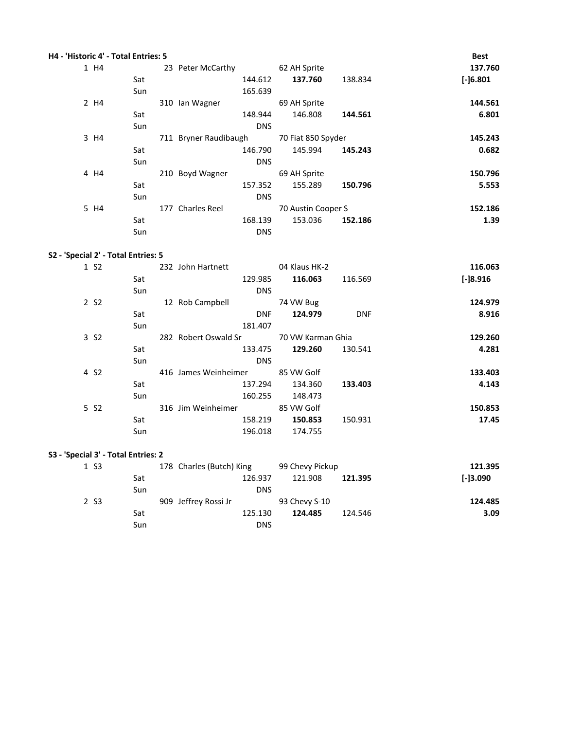| H4 - 'Historic 4' - Total Entries: 5 |      |     |                       |            |                    |         | <b>Best</b> |
|--------------------------------------|------|-----|-----------------------|------------|--------------------|---------|-------------|
|                                      | 1 H4 |     | 23 Peter McCarthy     |            | 62 AH Sprite       |         | 137.760     |
|                                      |      | Sat |                       | 144.612    | 137.760            | 138.834 | $[-]6.801$  |
|                                      |      | Sun |                       | 165.639    |                    |         |             |
|                                      | 2 H4 |     | 310 Ian Wagner        |            | 69 AH Sprite       |         | 144.561     |
|                                      |      | Sat |                       | 148.944    | 146.808            | 144.561 | 6.801       |
|                                      |      | Sun |                       | <b>DNS</b> |                    |         |             |
|                                      | 3 H4 |     | 711 Bryner Raudibaugh |            | 70 Fiat 850 Spyder |         | 145.243     |
|                                      |      | Sat |                       | 146.790    | 145.994            | 145.243 | 0.682       |
|                                      |      | Sun |                       | <b>DNS</b> |                    |         |             |
|                                      | 4 H4 |     | 210 Boyd Wagner       |            | 69 AH Sprite       |         | 150.796     |
|                                      |      | Sat |                       | 157.352    | 155.289            | 150.796 | 5.553       |
|                                      |      | Sun |                       | <b>DNS</b> |                    |         |             |
|                                      | 5 H4 |     | 177 Charles Reel      |            | 70 Austin Cooper S |         | 152.186     |
|                                      |      | Sat |                       | 168.139    | 153.036            | 152.186 | 1.39        |
|                                      |      | Sun |                       | <b>DNS</b> |                    |         |             |

## **S2 - 'Special 2' - Total Entries: 5**

| 1 S <sub>2</sub> |     | 232 John Hartnett    | 04 Klaus HK-2         | 116.063    |
|------------------|-----|----------------------|-----------------------|------------|
|                  | Sat | 129.985              | 116.063<br>116.569    | $[-]8.916$ |
|                  | Sun | <b>DNS</b>           |                       |            |
| 2 S <sub>2</sub> |     | 12 Rob Campbell      | 74 VW Bug             | 124.979    |
|                  | Sat | <b>DNF</b>           | 124.979<br><b>DNF</b> | 8.916      |
|                  | Sun | 181.407              |                       |            |
| 3 S <sub>2</sub> |     | 282 Robert Oswald Sr | 70 VW Karman Ghia     | 129.260    |
|                  | Sat | 133.475              | 129.260<br>130.541    | 4.281      |
|                  | Sun | <b>DNS</b>           |                       |            |
| 4 S <sub>2</sub> |     | 416 James Weinheimer | 85 VW Golf            | 133.403    |
|                  | Sat | 137.294              | 134.360<br>133.403    | 4.143      |
|                  | Sun | 160.255              | 148.473               |            |
| 5 S <sub>2</sub> |     | 316 Jim Weinheimer   | 85 VW Golf            | 150.853    |
|                  | Sat | 158.219              | 150.931<br>150.853    | 17.45      |
|                  | Sun | 196.018              | 174.755               |            |

## **S3 - 'Special 3' - Total Entries: 2**

| 1 S <sub>3</sub> |     | 178 Charles (Butch) King |            | 99 Chevy Pickup |         | 121.395    |
|------------------|-----|--------------------------|------------|-----------------|---------|------------|
|                  | Sat |                          | 126.937    | 121.908         | 121.395 | $I-13.090$ |
|                  | Sun |                          | <b>DNS</b> |                 |         |            |
| 2 S <sub>3</sub> |     | 909 Jeffrey Rossi Jr     |            | 93 Chevy S-10   |         | 124.485    |
|                  | Sat |                          | 125.130    | 124.485         | 124.546 | 3.09       |
|                  | Sun |                          | <b>DNS</b> |                 |         |            |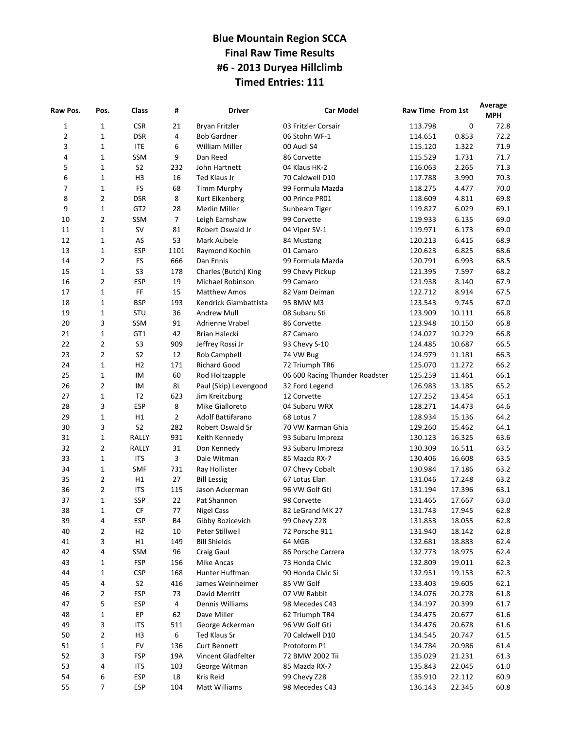# **Blue Mountain Region SCCA Final Raw Time Results #6 - 2013 Duryea Hillclimb Timed Entries: 111**

| Raw Pos.     | Pos.        | Class           | #              | <b>Driver</b>         | <b>Car Model</b>               | Raw Time From 1st |        | Average<br><b>MPH</b> |
|--------------|-------------|-----------------|----------------|-----------------------|--------------------------------|-------------------|--------|-----------------------|
| $\mathbf{1}$ | 1           | <b>CSR</b>      | 21             | Bryan Fritzler        | 03 Fritzler Corsair            | 113.798           | 0      | 72.8                  |
| $\mathbf 2$  | 1           | <b>DSR</b>      | 4              | <b>Bob Gardner</b>    | 06 Stohn WF-1                  | 114.651           | 0.853  | 72.2                  |
| 3            | $\mathbf 1$ | <b>ITE</b>      | 6              | William Miller        | 00 Audi S4                     | 115.120           | 1.322  | 71.9                  |
| 4            | 1           | SSM             | 9              | Dan Reed              | 86 Corvette                    | 115.529           | 1.731  | 71.7                  |
| 5            | 1           | S <sub>2</sub>  | 232            | John Hartnett         | 04 Klaus HK-2                  | 116.063           | 2.265  | 71.3                  |
| 6            | 1           | H <sub>3</sub>  | 16             | Ted Klaus Jr          | 70 Caldwell D10                | 117.788           | 3.990  | 70.3                  |
| 7            | $\mathbf 1$ | <b>FS</b>       | 68             | <b>Timm Murphy</b>    | 99 Formula Mazda               | 118.275           | 4.477  | 70.0                  |
| 8            | 2           | <b>DSR</b>      | 8              | Kurt Eikenberg        | 00 Prince PR01                 | 118.609           | 4.811  | 69.8                  |
| 9            | 1           | GT <sub>2</sub> | 28             | <b>Merlin Miller</b>  | Sunbeam Tiger                  | 119.827           | 6.029  | 69.1                  |
| 10           | 2           | SSM             | 7              | Leigh Earnshaw        | 99 Corvette                    | 119.933           | 6.135  | 69.0                  |
| 11           | $\mathbf 1$ | SV              | 81             | Robert Oswald Jr      | 04 Viper SV-1                  | 119.971           | 6.173  | 69.0                  |
| 12           | $\mathbf 1$ | AS              | 53             | Mark Aubele           | 84 Mustang                     | 120.213           | 6.415  | 68.9                  |
| 13           | 1           | <b>ESP</b>      | 1101           | Raymond Kochin        | 01 Camaro                      | 120.623           | 6.825  | 68.6                  |
| 14           | 2           | <b>FS</b>       | 666            | Dan Ennis             | 99 Formula Mazda               | 120.791           | 6.993  | 68.5                  |
| 15           | $\mathbf 1$ | S <sub>3</sub>  | 178            | Charles (Butch) King  | 99 Chevy Pickup                | 121.395           | 7.597  | 68.2                  |
| 16           | 2           | <b>ESP</b>      | 19             | Michael Robinson      | 99 Camaro                      | 121.938           | 8.140  | 67.9                  |
| 17           | 1           | FF              | 15             | <b>Matthew Amos</b>   | 82 Vam Deiman                  | 122.712           | 8.914  | 67.5                  |
| 18           | 1           | <b>BSP</b>      | 193            | Kendrick Giambattista | 95 BMW M3                      | 123.543           | 9.745  | 67.0                  |
| 19           | 1           | STU             | 36             | <b>Andrew Mull</b>    | 08 Subaru Sti                  | 123.909           | 10.111 | 66.8                  |
| 20           | 3           | SSM             | 91             | Adrienne Vrabel       | 86 Corvette                    | 123.948           | 10.150 | 66.8                  |
| 21           | $\mathbf 1$ | GT1             | 42             | Brian Halecki         | 87 Camaro                      | 124.027           | 10.229 | 66.8                  |
| 22           | 2           | S <sub>3</sub>  | 909            | Jeffrey Rossi Jr      | 93 Chevy S-10                  | 124.485           | 10.687 | 66.5                  |
| 23           | 2           | S <sub>2</sub>  | 12             | Rob Campbell          | 74 VW Bug                      | 124.979           | 11.181 | 66.3                  |
| 24           | $\mathbf 1$ | H <sub>2</sub>  | 171            | <b>Richard Good</b>   | 72 Triumph TR6                 | 125.070           | 11.272 | 66.2                  |
| 25           | 1           | IM              | 60             | Rod Holtzapple        | 06 600 Racing Thunder Roadster | 125.259           | 11.461 | 66.1                  |
| 26           | 2           | IM              | 8L             | Paul (Skip) Levengood | 32 Ford Legend                 | 126.983           | 13.185 | 65.2                  |
| 27           | 1           | T <sub>2</sub>  | 623            | Jim Kreitzburg        | 12 Corvette                    | 127.252           | 13.454 | 65.1                  |
| 28           | 3           | <b>ESP</b>      | 8              | Mike Gialloreto       | 04 Subaru WRX                  | 128.271           | 14.473 | 64.6                  |
| 29           | $\mathbf 1$ | H1              | $\overline{2}$ | Adolf Battifarano     | 68 Lotus 7                     | 128.934           | 15.136 | 64.2                  |
| 30           | 3           | S <sub>2</sub>  | 282            | Robert Oswald Sr      | 70 VW Karman Ghia              | 129.260           | 15.462 | 64.1                  |
| 31           | 1           | RALLY           | 931            | Keith Kennedy         | 93 Subaru Impreza              | 130.123           | 16.325 | 63.6                  |
| 32           | 2           | RALLY           | 31             | Don Kennedy           | 93 Subaru Impreza              | 130.309           | 16.511 | 63.5                  |
| 33           | $\mathbf 1$ | <b>ITS</b>      | 3              | Dale Witman           | 85 Mazda RX-7                  | 130.406           | 16.608 | 63.5                  |
| 34           | 1           | <b>SMF</b>      | 731            | Ray Hollister         | 07 Chevy Cobalt                | 130.984           | 17.186 | 63.2                  |
| 35           | 2           | H1              | 27             | <b>Bill Lessig</b>    | 67 Lotus Elan                  | 131.046           | 17.248 | 63.2                  |
| 36           | 2           | <b>ITS</b>      | 115            | Jason Ackerman        | 96 VW Golf Gti                 | 131.194           | 17.396 | 63.1                  |
| 37           | $\mathbf 1$ | <b>SSP</b>      | 22             | Pat Shannon           | 98 Corvette                    | 131.465           | 17.667 | 63.0                  |
| 38           | $\mathbf 1$ | CF              | 77             | <b>Nigel Cass</b>     | 82 LeGrand MK 27               | 131.743           | 17.945 | 62.8                  |
| 39           | 4           | <b>ESP</b>      | <b>B4</b>      | Gibby Bozicevich      | 99 Chevy Z28                   | 131.853           | 18.055 | 62.8                  |
| 40           | 2           | H2              | $10\,$         | Peter Stillwell       | 72 Porsche 911                 | 131.940           | 18.142 | 62.8                  |
| 41           | 3           | H1              | 149            | <b>Bill Shields</b>   | 64 MGB                         | 132.681           | 18.883 | 62.4                  |
| 42           | 4           | SSM             | 96             | Craig Gaul            | 86 Porsche Carrera             | 132.773           | 18.975 | 62.4                  |
| 43           | 1           | <b>FSP</b>      | 156            | Mike Ancas            | 73 Honda Civic                 | 132.809           | 19.011 | 62.3                  |
| 44           | 1           | <b>CSP</b>      | 168            | Hunter Huffman        | 90 Honda Civic Si              | 132.951           | 19.153 | 62.3                  |
| 45           | 4           | S <sub>2</sub>  | 416            | James Weinheimer      | 85 VW Golf                     | 133.403           | 19.605 | 62.1                  |
| 46           | 2           | <b>FSP</b>      | 73             | David Merritt         | 07 VW Rabbit                   | 134.076           | 20.278 | 61.8                  |
| 47           | 5           | <b>ESP</b>      | 4              | Dennis Williams       | 98 Mecedes C43                 | 134.197           | 20.399 | 61.7                  |
| 48           | 1           | EP              | 62             | Dave Miller           | 62 Triumph TR4                 | 134.475           | 20.677 | 61.6                  |
| 49           | 3           | <b>ITS</b>      | 511            | George Ackerman       | 96 VW Golf Gti                 | 134.476           | 20.678 | 61.6                  |
| 50           | 2           | H <sub>3</sub>  | 6              | Ted Klaus Sr          | 70 Caldwell D10                | 134.545           | 20.747 | 61.5                  |
| 51           | 1           | <b>FV</b>       | 136            | <b>Curt Bennett</b>   | Protoform P1                   | 134.784           | 20.986 | 61.4                  |
| 52           | 3           | <b>FSP</b>      | 19A            | Vincent Gladfelter    | 72 BMW 2002 Tii                | 135.029           | 21.231 | 61.3                  |
| 53           | 4           | <b>ITS</b>      | 103            | George Witman         | 85 Mazda RX-7                  | 135.843           | 22.045 | 61.0                  |
| 54           | 6           | <b>ESP</b>      | L8             | Kris Reid             | 99 Chevy Z28                   | 135.910           | 22.112 | 60.9                  |
| 55           | 7           | <b>ESP</b>      | 104            | Matt Williams         | 98 Mecedes C43                 | 136.143           | 22.345 | 60.8                  |
|              |             |                 |                |                       |                                |                   |        |                       |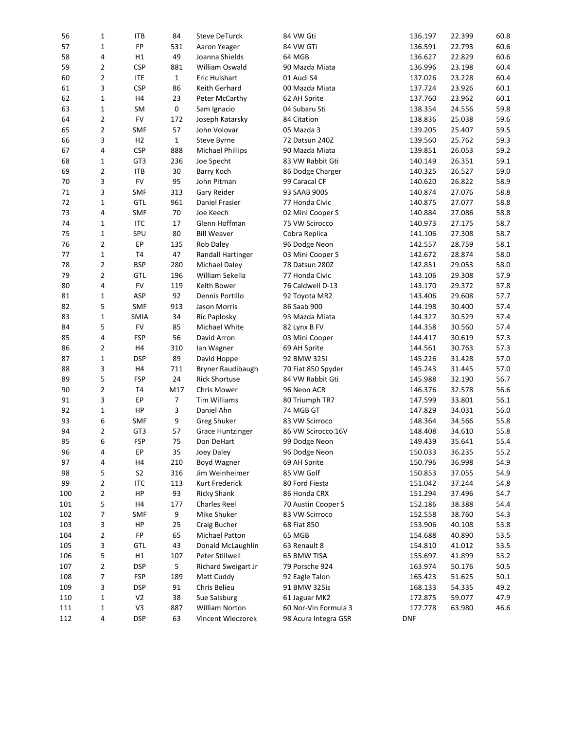| 56  | 1              | ITB            | 84             | <b>Steve DeTurck</b>     | 84 VW Gti            | 136.197    | 22.399 | 60.8 |
|-----|----------------|----------------|----------------|--------------------------|----------------------|------------|--------|------|
| 57  | 1              | FP             | 531            | Aaron Yeager             | 84 VW GTi            | 136.591    | 22.793 | 60.6 |
| 58  | 4              | H1             | 49             | Joanna Shields           | 64 MGB               | 136.627    | 22.829 | 60.6 |
| 59  | 2              | <b>CSP</b>     | 881            | William Oswald           | 90 Mazda Miata       | 136.996    | 23.198 | 60.4 |
| 60  | 2              | <b>ITE</b>     | $\mathbf{1}$   | Eric Hulshart            | 01 Audi S4           | 137.026    | 23.228 | 60.4 |
| 61  | 3              | <b>CSP</b>     | 86             | Keith Gerhard            | 00 Mazda Miata       | 137.724    | 23.926 | 60.1 |
| 62  | $\mathbf 1$    | H4             | 23             | Peter McCarthy           | 62 AH Sprite         | 137.760    | 23.962 | 60.1 |
| 63  | $\mathbf 1$    | SM             | 0              | Sam Ignacio              | 04 Subaru Sti        | 138.354    | 24.556 | 59.8 |
| 64  | $\overline{2}$ | <b>FV</b>      | 172            | Joseph Katarsky          | 84 Citation          | 138.836    | 25.038 | 59.6 |
| 65  | 2              | <b>SMF</b>     | 57             | John Volovar             | 05 Mazda 3           | 139.205    | 25.407 | 59.5 |
| 66  | 3              | H <sub>2</sub> | $\mathbf{1}$   | Steve Byrne              | 72 Datsun 240Z       | 139.560    | 25.762 | 59.3 |
| 67  | 4              | <b>CSP</b>     | 888            | <b>Michael Phillips</b>  | 90 Mazda Miata       | 139.851    | 26.053 | 59.2 |
| 68  | 1              | GT3            | 236            | Joe Specht               | 83 VW Rabbit Gti     | 140.149    | 26.351 | 59.1 |
| 69  | 2              | <b>ITB</b>     | 30             | Barry Koch               | 86 Dodge Charger     | 140.325    | 26.527 | 59.0 |
| 70  | 3              | <b>FV</b>      | 95             | John Pitman              | 99 Caracal CF        | 140.620    | 26.822 | 58.9 |
| 71  | 3              | <b>SMF</b>     | 313            | Gary Reider              | 93 SAAB 900S         | 140.874    | 27.076 | 58.8 |
| 72  | $\mathbf 1$    | <b>GTL</b>     | 961            | Daniel Frasier           | 77 Honda Civic       | 140.875    | 27.077 | 58.8 |
| 73  | 4              | <b>SMF</b>     | 70             | Joe Keech                |                      | 140.884    | 27.086 | 58.8 |
|     |                |                | 17             |                          | 02 Mini Cooper S     |            |        |      |
| 74  | 1              | <b>ITC</b>     |                | Glenn Hoffman            | 75 VW Scirocco       | 140.973    | 27.175 | 58.7 |
| 75  | $\mathbf 1$    | SPU            | 80             | <b>Bill Weaver</b>       | Cobra Replica        | 141.106    | 27.308 | 58.7 |
| 76  | 2              | EP             | 135            | <b>Rob Daley</b>         | 96 Dodge Neon        | 142.557    | 28.759 | 58.1 |
| 77  | $\mathbf 1$    | T <sub>4</sub> | 47             | <b>Randall Hartinger</b> | 03 Mini Cooper S     | 142.672    | 28.874 | 58.0 |
| 78  | 2              | <b>BSP</b>     | 280            | Michael Daley            | 78 Datsun 280Z       | 142.851    | 29.053 | 58.0 |
| 79  | $\overline{2}$ | <b>GTL</b>     | 196            | William Sekella          | 77 Honda Civic       | 143.106    | 29.308 | 57.9 |
| 80  | 4              | ${\sf FV}$     | 119            | Keith Bower              | 76 Caldwell D-13     | 143.170    | 29.372 | 57.8 |
| 81  | 1              | ASP            | 92             | Dennis Portillo          | 92 Toyota MR2        | 143.406    | 29.608 | 57.7 |
| 82  | 5              | <b>SMF</b>     | 913            | Jason Morris             | 86 Saab 900          | 144.198    | 30.400 | 57.4 |
| 83  | $\mathbf 1$    | <b>SMIA</b>    | 34             | <b>Ric Paplosky</b>      | 93 Mazda Miata       | 144.327    | 30.529 | 57.4 |
| 84  | 5              | <b>FV</b>      | 85             | Michael White            | 82 Lynx B FV         | 144.358    | 30.560 | 57.4 |
| 85  | 4              | <b>FSP</b>     | 56             | David Arron              | 03 Mini Cooper       | 144.417    | 30.619 | 57.3 |
| 86  | 2              | H4             | 310            | lan Wagner               | 69 AH Sprite         | 144.561    | 30.763 | 57.3 |
| 87  | $\mathbf 1$    | <b>DSP</b>     | 89             | David Hoppe              | 92 BMW 325i          | 145.226    | 31.428 | 57.0 |
| 88  | 3              | H4             | 711            | Bryner Raudibaugh        | 70 Fiat 850 Spyder   | 145.243    | 31.445 | 57.0 |
| 89  | 5              | <b>FSP</b>     | 24             | <b>Rick Shortuse</b>     | 84 VW Rabbit Gti     | 145.988    | 32.190 | 56.7 |
| 90  | 2              | T4             | M17            | Chris Mower              | 96 Neon ACR          | 146.376    | 32.578 | 56.6 |
| 91  | 3              | EP             | $\overline{7}$ | <b>Tim Williams</b>      | 80 Triumph TR7       | 147.599    | 33.801 | 56.1 |
| 92  | $\mathbf 1$    | HP             | 3              | Daniel Ahn               | 74 MGB GT            | 147.829    | 34.031 | 56.0 |
| 93  | 6              | SMF            | 9              | Greg Shuker              | 83 VW Scirroco       | 148.364    | 34.566 | 55.8 |
| 94  | 2              | GT3            | 57             | <b>Grace Huntzinger</b>  | 86 VW Scirocco 16V   | 148.408    | 34.610 | 55.8 |
| 95  | 6              | <b>FSP</b>     | 75             | Don DeHart               | 99 Dodge Neon        | 149.439    | 35.641 | 55.4 |
| 96  | 4              | EP             | 35             | Joey Daley               | 96 Dodge Neon        | 150.033    | 36.235 | 55.2 |
| 97  | 4              | H4             | 210            | Boyd Wagner              | 69 AH Sprite         | 150.796    | 36.998 | 54.9 |
| 98  | 5              | S <sub>2</sub> | 316            | Jim Weinheimer           | 85 VW Golf           | 150.853    | 37.055 | 54.9 |
| 99  | 2              | <b>ITC</b>     | 113            | Kurt Frederick           | 80 Ford Fiesta       | 151.042    | 37.244 | 54.8 |
| 100 | $\overline{2}$ | HP             | 93             | <b>Ricky Shank</b>       | 86 Honda CRX         | 151.294    | 37.496 | 54.7 |
| 101 | 5              | H4             | 177            | <b>Charles Reel</b>      | 70 Austin Cooper S   | 152.186    | 38.388 | 54.4 |
| 102 | 7              | <b>SMF</b>     | 9              | Mike Shuker              | 83 VW Scirroco       | 152.558    | 38.760 | 54.3 |
| 103 | 3              | HP             | 25             | Craig Bucher             | 68 Fiat 850          | 153.906    | 40.108 | 53.8 |
| 104 | $\overline{2}$ | FP             | 65             | Michael Patton           | 65 MGB               | 154.688    | 40.890 | 53.5 |
| 105 | 3              | GTL            | 43             | Donald McLaughlin        | 63 Renault 8         | 154.810    | 41.012 | 53.5 |
| 106 | 5              | Η1             | 107            | Peter Stillwell          | 65 BMW TISA          | 155.697    | 41.899 | 53.2 |
| 107 | 2              | <b>DSP</b>     | 5              | Richard Sweigart Jr      | 79 Porsche 924       | 163.974    | 50.176 | 50.5 |
| 108 | 7              | <b>FSP</b>     | 189            | Matt Cuddy               | 92 Eagle Talon       | 165.423    | 51.625 | 50.1 |
| 109 | 3              | <b>DSP</b>     | 91             | Chris Belieu             | 91 BMW 325is         | 168.133    | 54.335 | 49.2 |
| 110 | 1              | V <sub>2</sub> | 38             | Sue Salsburg             | 61 Jaguar MK2        | 172.875    | 59.077 | 47.9 |
|     | 1              | $\vee$ 3       |                | William Norton           | 60 Nor-Vin Formula 3 |            |        |      |
| 111 |                |                | 887            |                          |                      | 177.778    | 63.980 | 46.6 |
| 112 | 4              | <b>DSP</b>     | 63             | Vincent Wieczorek        | 98 Acura Integra GSR | <b>DNF</b> |        |      |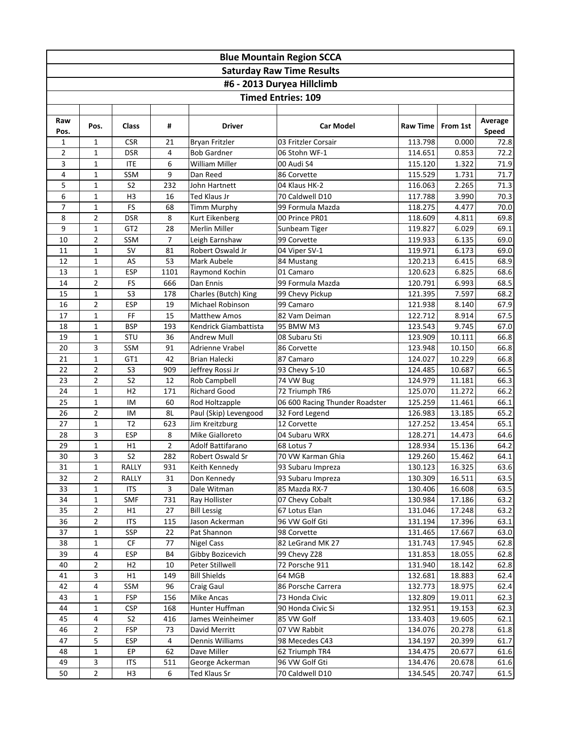|                | <b>Blue Mountain Region SCCA</b> |                              |                |                                    |                                  |                    |                  |                  |  |  |  |  |
|----------------|----------------------------------|------------------------------|----------------|------------------------------------|----------------------------------|--------------------|------------------|------------------|--|--|--|--|
|                |                                  |                              |                |                                    | <b>Saturday Raw Time Results</b> |                    |                  |                  |  |  |  |  |
|                |                                  |                              |                |                                    | #6 - 2013 Duryea Hillclimb       |                    |                  |                  |  |  |  |  |
|                |                                  |                              |                |                                    | <b>Timed Entries: 109</b>        |                    |                  |                  |  |  |  |  |
|                |                                  |                              |                |                                    |                                  |                    |                  |                  |  |  |  |  |
| Raw<br>Pos.    | Pos.                             | <b>Class</b>                 | #              | <b>Driver</b>                      | <b>Car Model</b>                 | <b>Raw Time</b>    | From 1st         | Average<br>Speed |  |  |  |  |
| $\mathbf{1}$   | $\mathbf{1}$                     | <b>CSR</b>                   | 21             | <b>Bryan Fritzler</b>              | 03 Fritzler Corsair              | 113.798            | 0.000            | 72.8             |  |  |  |  |
| $\overline{2}$ | $\mathbf{1}$                     | <b>DSR</b>                   | 4              | <b>Bob Gardner</b>                 | 06 Stohn WF-1                    | 114.651            | 0.853            | 72.2             |  |  |  |  |
| 3              | $\mathbf{1}$                     | <b>ITE</b>                   | 6              | <b>William Miller</b>              | 00 Audi S4                       | 115.120            | 1.322            | 71.9             |  |  |  |  |
| 4              | $\mathbf{1}$                     | SSM                          | 9              | Dan Reed                           | 86 Corvette                      | 115.529            | 1.731            | 71.7             |  |  |  |  |
| 5              | $\mathbf{1}$                     | S <sub>2</sub>               | 232            | John Hartnett                      | 04 Klaus HK-2                    | 116.063            | 2.265            | 71.3             |  |  |  |  |
| 6              | $\mathbf{1}$                     | H <sub>3</sub>               | 16             | Ted Klaus Jr                       | 70 Caldwell D10                  | 117.788            | 3.990            | 70.3             |  |  |  |  |
| 7              | $\mathbf{1}$                     | FS                           | 68             | <b>Timm Murphy</b>                 | 99 Formula Mazda                 | 118.275            | 4.477            | 70.0             |  |  |  |  |
| 8              | $\overline{2}$                   | <b>DSR</b>                   | 8              | Kurt Eikenberg                     | 00 Prince PR01                   | 118.609            | 4.811            | 69.8             |  |  |  |  |
| 9              | $\mathbf{1}$                     | GT <sub>2</sub>              | 28             | Merlin Miller                      | Sunbeam Tiger                    | 119.827            | 6.029            | 69.1             |  |  |  |  |
| 10<br>11       | $\overline{2}$<br>$\mathbf{1}$   | SSM<br><b>SV</b>             | 7<br>81        | Leigh Earnshaw<br>Robert Oswald Jr | 99 Corvette                      | 119.933            | 6.135<br>6.173   | 69.0             |  |  |  |  |
| 12             | $\mathbf{1}$                     | AS                           | 53             | Mark Aubele                        | 04 Viper SV-1<br>84 Mustang      | 119.971<br>120.213 | 6.415            | 69.0<br>68.9     |  |  |  |  |
| 13             | $\mathbf{1}$                     | <b>ESP</b>                   | 1101           | Raymond Kochin                     | 01 Camaro                        | 120.623            | 6.825            | 68.6             |  |  |  |  |
| 14             | $\overline{2}$                   | FS                           | 666            | Dan Ennis                          | 99 Formula Mazda                 | 120.791            | 6.993            | 68.5             |  |  |  |  |
| 15             | $\mathbf{1}$                     | S <sub>3</sub>               | 178            | Charles (Butch) King               | 99 Chevy Pickup                  | 121.395            | 7.597            | 68.2             |  |  |  |  |
| 16             | 2                                | <b>ESP</b>                   | 19             | Michael Robinson                   | 99 Camaro                        | 121.938            | 8.140            | 67.9             |  |  |  |  |
| 17             | $\mathbf{1}$                     | $\mathsf{FF}% _{\mathsf{F}}$ | 15             | <b>Matthew Amos</b>                | 82 Vam Deiman                    | 122.712            | 8.914            | 67.5             |  |  |  |  |
| 18             | $\mathbf{1}$                     | <b>BSP</b>                   | 193            | Kendrick Giambattista              | 95 BMW M3                        | 123.543            | 9.745            | 67.0             |  |  |  |  |
| 19             | $\mathbf{1}$                     | <b>STU</b>                   | 36             | <b>Andrew Mull</b>                 | 08 Subaru Sti                    | 123.909            | 10.111           | 66.8             |  |  |  |  |
| 20             | 3                                | SSM                          | 91             | Adrienne Vrabel                    | 86 Corvette                      | 123.948            | 10.150           | 66.8             |  |  |  |  |
| 21             | $\mathbf{1}$                     | GT1                          | 42             | <b>Brian Halecki</b>               | 87 Camaro                        | 124.027            | 10.229           | 66.8             |  |  |  |  |
| 22             | $\overline{2}$                   | S <sub>3</sub>               | 909            | Jeffrey Rossi Jr                   | 93 Chevy S-10                    | 124.485            | 10.687           | 66.5             |  |  |  |  |
| 23             | $\overline{2}$                   | S <sub>2</sub>               | 12             | Rob Campbell                       | 74 VW Bug                        | 124.979            | 11.181           | 66.3             |  |  |  |  |
| 24             | $\mathbf{1}$                     | H <sub>2</sub>               | 171            | <b>Richard Good</b>                | 72 Triumph TR6                   | 125.070            | 11.272           | 66.2             |  |  |  |  |
| 25             | $\mathbf{1}$                     | IM                           | 60             | Rod Holtzapple                     | 06 600 Racing Thunder Roadster   | 125.259            | 11.461           | 66.1             |  |  |  |  |
| 26             | $\overline{2}$                   | IM                           | 8L             | Paul (Skip) Levengood              | 32 Ford Legend                   | 126.983            | 13.185           | 65.2             |  |  |  |  |
| 27             | $\mathbf{1}$                     | T <sub>2</sub>               | 623            | Jim Kreitzburg                     | 12 Corvette                      | 127.252            | 13.454           | 65.1             |  |  |  |  |
| 28             | 3                                | <b>ESP</b>                   | 8              | Mike Gialloreto                    | 04 Subaru WRX                    | 128.271            | 14.473           | 64.6             |  |  |  |  |
| 29             | $\mathbf{1}$                     | Η1                           | $\overline{2}$ | <b>Adolf Battifarano</b>           | 68 Lotus 7                       | 128.934            | 15.136           | 64.2             |  |  |  |  |
| 30             | 3                                | S <sub>2</sub>               | 282            | Robert Oswald Sr                   | 70 VW Karman Ghia                | 129.260            | 15.462           | 64.1             |  |  |  |  |
| 31             | $\mathbf 1$                      | RALLY                        | 931            | Keith Kennedy                      | 93 Subaru Impreza                | 130.123            | 16.325           | 63.6             |  |  |  |  |
| 32             | 2                                | RALLY                        | 31             | Don Kennedy                        | 93 Subaru Impreza                | 130.309            | 16.511           | 63.5             |  |  |  |  |
| 33             | $\mathbf{1}$                     | <b>ITS</b>                   | 3              | Dale Witman                        | 85 Mazda RX-7                    | 130.406            | 16.608           | 63.5             |  |  |  |  |
| 34             | $\mathbf{1}$                     | SMF                          | 731            | Ray Hollister                      | 07 Chevy Cobalt                  | 130.984            | 17.186           | 63.2             |  |  |  |  |
| 35             | 2                                | H1                           | 27             | <b>Bill Lessig</b>                 | 67 Lotus Elan                    | 131.046            | 17.248           | 63.2             |  |  |  |  |
| 36             | 2                                | <b>ITS</b>                   | 115            | Jason Ackerman                     | 96 VW Golf Gti                   | 131.194            | 17.396           | 63.1             |  |  |  |  |
| 37             | $\mathbf{1}$                     | SSP                          | 22             | Pat Shannon                        | 98 Corvette                      | 131.465            | 17.667           | 63.0             |  |  |  |  |
| 38             | $\mathbf{1}$                     | CF                           | 77             | <b>Nigel Cass</b>                  | 82 LeGrand MK 27                 | 131.743            | 17.945           | 62.8             |  |  |  |  |
| 39             | 4                                | <b>ESP</b>                   | <b>B4</b>      | Gibby Bozicevich                   | 99 Chevy Z28                     | 131.853            | 18.055           | 62.8             |  |  |  |  |
| 40             | 2                                | H <sub>2</sub>               | 10             | Peter Stillwell                    | 72 Porsche 911                   | 131.940            | 18.142           | 62.8             |  |  |  |  |
| 41             | 3                                | H1                           | 149            | <b>Bill Shields</b>                | 64 MGB                           | 132.681            | 18.883           | 62.4             |  |  |  |  |
| 42             | 4                                | SSM                          | 96             | Craig Gaul                         | 86 Porsche Carrera               | 132.773            | 18.975           | 62.4             |  |  |  |  |
| 43             | 1                                | <b>FSP</b>                   | 156            | <b>Mike Ancas</b>                  | 73 Honda Civic                   | 132.809            | 19.011           | 62.3             |  |  |  |  |
| 44             | 1                                | <b>CSP</b>                   | 168            | Hunter Huffman                     | 90 Honda Civic Si                | 132.951            | 19.153           | 62.3             |  |  |  |  |
| 45<br>46       | 4<br>2                           | S <sub>2</sub><br><b>FSP</b> | 416            | James Weinheimer                   | 85 VW Golf<br>07 VW Rabbit       | 133.403            | 19.605           | 62.1             |  |  |  |  |
|                |                                  |                              | 73             | David Merritt                      |                                  | 134.076            | 20.278           | 61.8             |  |  |  |  |
| 47<br>48       | 5<br>$\mathbf{1}$                | <b>ESP</b><br>EP             | 4<br>62        | Dennis Williams<br>Dave Miller     | 98 Mecedes C43<br>62 Triumph TR4 | 134.197<br>134.475 | 20.399<br>20.677 | 61.7<br>61.6     |  |  |  |  |
| 49             | 3                                | <b>ITS</b>                   | 511            | George Ackerman                    | 96 VW Golf Gti                   | 134.476            | 20.678           | 61.6             |  |  |  |  |
| 50             | $\overline{2}$                   | H <sub>3</sub>               | 6              | Ted Klaus Sr                       | 70 Caldwell D10                  | 134.545            | 20.747           | 61.5             |  |  |  |  |
|                |                                  |                              |                |                                    |                                  |                    |                  |                  |  |  |  |  |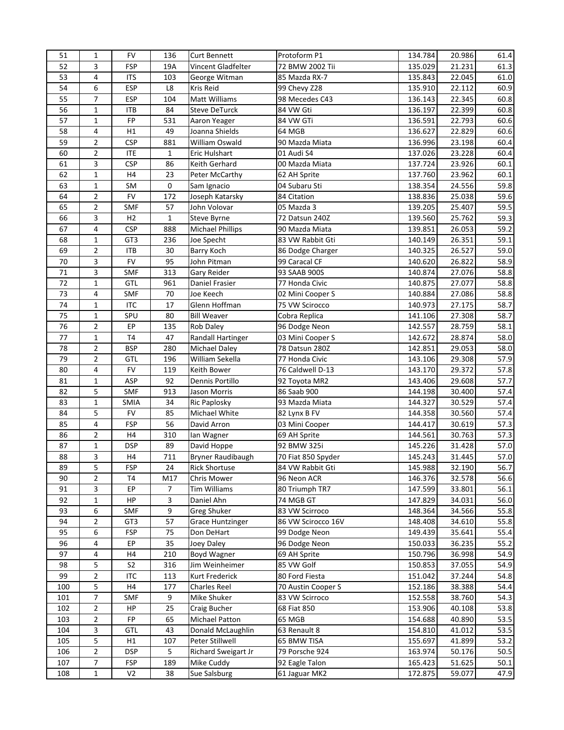| 51       | 1              | <b>FV</b>      | 136          | <b>Curt Bennett</b>                   | Protoform P1       | 134.784 | 20.986 | 61.4 |
|----------|----------------|----------------|--------------|---------------------------------------|--------------------|---------|--------|------|
| 52       | 3              | <b>FSP</b>     | 19A          | Vincent Gladfelter                    | 72 BMW 2002 Tii    | 135.029 | 21.231 | 61.3 |
| 53       | 4              | <b>ITS</b>     | 103          | George Witman                         | 85 Mazda RX-7      | 135.843 | 22.045 | 61.0 |
| 54       | 6              | <b>ESP</b>     | L8           | Kris Reid                             | 99 Chevy Z28       | 135.910 | 22.112 | 60.9 |
| 55       | 7              | <b>ESP</b>     | 104          | <b>Matt Williams</b>                  | 98 Mecedes C43     | 136.143 | 22.345 | 60.8 |
| 56       | $\mathbf{1}$   | <b>ITB</b>     | 84           | <b>Steve DeTurck</b>                  | 84 VW Gti          | 136.197 | 22.399 | 60.8 |
| 57       | $\mathbf{1}$   | FP             | 531          | Aaron Yeager                          | 84 VW GTi          | 136.591 | 22.793 | 60.6 |
| 58       | 4              | H1             | 49           | Joanna Shields                        | 64 MGB             | 136.627 | 22.829 | 60.6 |
| 59       | $\overline{2}$ | <b>CSP</b>     | 881          | William Oswald                        | 90 Mazda Miata     | 136.996 | 23.198 | 60.4 |
| 60       | 2              | <b>ITE</b>     | $\mathbf{1}$ | Eric Hulshart                         | 01 Audi S4         | 137.026 | 23.228 | 60.4 |
| 61       | 3              | <b>CSP</b>     | 86           | Keith Gerhard                         | 00 Mazda Miata     | 137.724 | 23.926 | 60.1 |
| 62       | $\mathbf{1}$   | H4             | 23           | Peter McCarthy                        | 62 AH Sprite       | 137.760 | 23.962 | 60.1 |
| 63       | $\mathbf{1}$   | SM             | 0            | Sam Ignacio                           | 04 Subaru Sti      | 138.354 | 24.556 | 59.8 |
| 64       | $\overline{2}$ | ${\sf FV}$     | 172          | Joseph Katarsky                       | 84 Citation        | 138.836 | 25.038 | 59.6 |
| 65       | 2              | <b>SMF</b>     | 57           | John Volovar                          | 05 Mazda 3         | 139.205 | 25.407 | 59.5 |
| 66       | 3              | H2             | $\mathbf{1}$ | Steve Byrne                           | 72 Datsun 240Z     | 139.560 | 25.762 | 59.3 |
| 67       | 4              | <b>CSP</b>     | 888          | <b>Michael Phillips</b>               | 90 Mazda Miata     | 139.851 | 26.053 | 59.2 |
| 68       | $\mathbf{1}$   | GT3            | 236          | Joe Specht                            | 83 VW Rabbit Gti   | 140.149 | 26.351 | 59.1 |
| 69       | $\overline{2}$ | <b>ITB</b>     | 30           | Barry Koch                            | 86 Dodge Charger   | 140.325 | 26.527 | 59.0 |
| 70       | 3              | ${\sf FV}$     | 95           | John Pitman                           | 99 Caracal CF      | 140.620 | 26.822 | 58.9 |
| 71       | 3              | SMF            | 313          | Gary Reider                           | 93 SAAB 900S       | 140.874 | 27.076 | 58.8 |
| 72       | $\mathbf{1}$   | <b>GTL</b>     | 961          | Daniel Frasier                        | 77 Honda Civic     | 140.875 | 27.077 | 58.8 |
| 73       | 4              | SMF            | 70           | Joe Keech                             | 02 Mini Cooper S   | 140.884 | 27.086 | 58.8 |
| 74       | 1              | ITC            | 17           | Glenn Hoffman                         | 75 VW Scirocco     | 140.973 | 27.175 | 58.7 |
| 75       | $\mathbf{1}$   | SPU            | 80           | <b>Bill Weaver</b>                    | Cobra Replica      | 141.106 | 27.308 | 58.7 |
| 76       | $\overline{2}$ | EP             | 135          | Rob Daley                             | 96 Dodge Neon      | 142.557 | 28.759 | 58.1 |
| 77       | $\mathbf{1}$   | T4             | 47           | Randall Hartinger                     | 03 Mini Cooper S   | 142.672 | 28.874 | 58.0 |
| 78       | $\overline{2}$ | <b>BSP</b>     | 280          | Michael Daley                         | 78 Datsun 280Z     | 142.851 | 29.053 | 58.0 |
| 79       | $\overline{2}$ | GTL            | 196          | William Sekella                       | 77 Honda Civic     | 143.106 | 29.308 | 57.9 |
| 80       | 4              | <b>FV</b>      | 119          | Keith Bower                           | 76 Caldwell D-13   | 143.170 | 29.372 | 57.8 |
| 81       | $\mathbf{1}$   | ASP            | 92           | Dennis Portillo                       | 92 Toyota MR2      | 143.406 | 29.608 | 57.7 |
| 82       | 5              | <b>SMF</b>     | 913          | Jason Morris                          | 86 Saab 900        | 144.198 | 30.400 | 57.4 |
| 83       | $\mathbf{1}$   | <b>SMIA</b>    | 34           | <b>Ric Paplosky</b>                   | 93 Mazda Miata     | 144.327 | 30.529 | 57.4 |
| 84       | 5              | <b>FV</b>      | 85           | Michael White                         | 82 Lynx B FV       | 144.358 | 30.560 | 57.4 |
| 85       | 4              | <b>FSP</b>     | 56           | David Arron                           | 03 Mini Cooper     | 144.417 | 30.619 | 57.3 |
| 86       | 2              | H4             | 310          | Ian Wagner                            | 69 AH Sprite       | 144.561 | 30.763 | 57.3 |
| 87       | $\mathbf{1}$   | <b>DSP</b>     | 89           | David Hoppe                           | 92 BMW 325i        | 145.226 | 31.428 | 57.0 |
| 88       | 3              | H4             | 711          | Bryner Raudibaugh                     | 70 Fiat 850 Spyder | 145.243 | 31.445 | 57.0 |
| 89       | 5              | <b>FSP</b>     | 24           | <b>Rick Shortuse</b>                  | 84 VW Rabbit Gti   | 145.988 | 32.190 | 56.7 |
| 90       | $\overline{2}$ | T <sub>4</sub> | M17          | Chris Mower                           | 96 Neon ACR        | 146.376 | 32.578 | 56.6 |
| 91       | 3              | EP             | 7            | Tim Williams                          | 80 Triumph TR7     | 147.599 | 33.801 | 56.1 |
| 92       | 1              | HP             | 3            | Daniel Ahn                            | 74 MGB GT          | 147.829 | 34.031 | 56.0 |
| 93       | 6              | SMF            | 9            | Greg Shuker                           | 83 VW Scirroco     | 148.364 | 34.566 | 55.8 |
| 94       | 2              | GT3            | 57           |                                       | 86 VW Scirocco 16V | 148.408 | 34.610 | 55.8 |
| 95       | 6              | <b>FSP</b>     | 75           | <b>Grace Huntzinger</b><br>Don DeHart | 99 Dodge Neon      | 149.439 | 35.641 | 55.4 |
|          |                |                |              |                                       |                    |         |        |      |
| 96<br>97 | 4              | EP             | 35           | Joey Daley                            | 96 Dodge Neon      | 150.033 | 36.235 | 55.2 |
|          | 4              | H4             | 210          | Boyd Wagner                           | 69 AH Sprite       | 150.796 | 36.998 | 54.9 |
| 98       | 5              | S <sub>2</sub> | 316          | Jim Weinheimer                        | 85 VW Golf         | 150.853 | 37.055 | 54.9 |
| 99       | 2              | <b>ITC</b>     | 113          | Kurt Frederick                        | 80 Ford Fiesta     | 151.042 | 37.244 | 54.8 |
| 100      | 5<br>7         | H4             | 177          | Charles Reel                          | 70 Austin Cooper S | 152.186 | 38.388 | 54.4 |
| 101      |                | SMF            | 9            | Mike Shuker                           | 83 VW Scirroco     | 152.558 | 38.760 | 54.3 |
| 102      | 2              | HP             | 25           | Craig Bucher                          | 68 Fiat 850        | 153.906 | 40.108 | 53.8 |
| 103      | 2              | FP             | 65           | Michael Patton                        | 65 MGB             | 154.688 | 40.890 | 53.5 |
| 104      | 3              | GTL            | 43           | Donald McLaughlin                     | 63 Renault 8       | 154.810 | 41.012 | 53.5 |
| 105      | 5              | H1             | 107          | Peter Stillwell                       | 65 BMW TISA        | 155.697 | 41.899 | 53.2 |
| 106      | 2              | <b>DSP</b>     | 5            | Richard Sweigart Jr                   | 79 Porsche 924     | 163.974 | 50.176 | 50.5 |
| 107      | 7              | <b>FSP</b>     | 189          | Mike Cuddy                            | 92 Eagle Talon     | 165.423 | 51.625 | 50.1 |
| 108      | $\mathbf{1}$   | V <sub>2</sub> | 38           | Sue Salsburg                          | 61 Jaguar MK2      | 172.875 | 59.077 | 47.9 |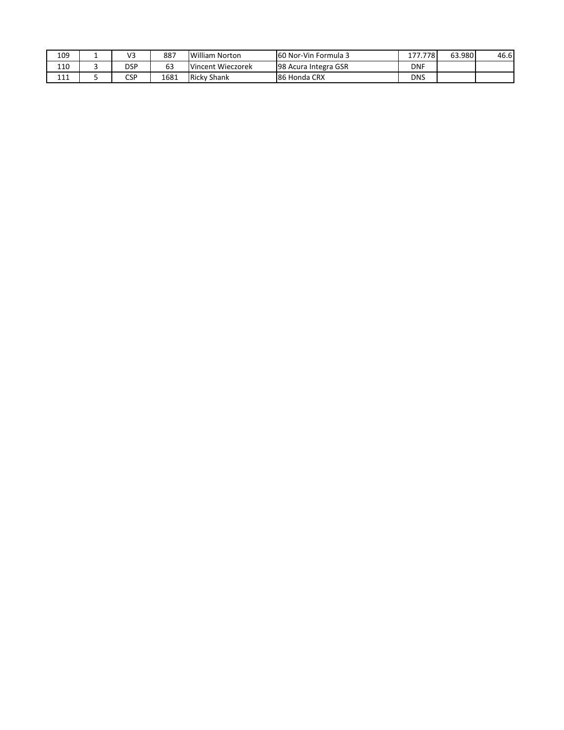| 109        | $\sqrt{2}$<br>72 | 887  | William Norton    | 160 Nor-Vin Formula 3 | 7781<br>$- -$ | 63.980 | 46.6 |
|------------|------------------|------|-------------------|-----------------------|---------------|--------|------|
| 110        | <br>DSP          | 63   | Vincent Wieczorek | 98 Acura Integra GSR  | <b>DNF</b>    |        |      |
| 111<br>+++ | CSP              | 1681 | Ricky Shank       | 186 Honda CRX         | <b>DNS</b>    |        |      |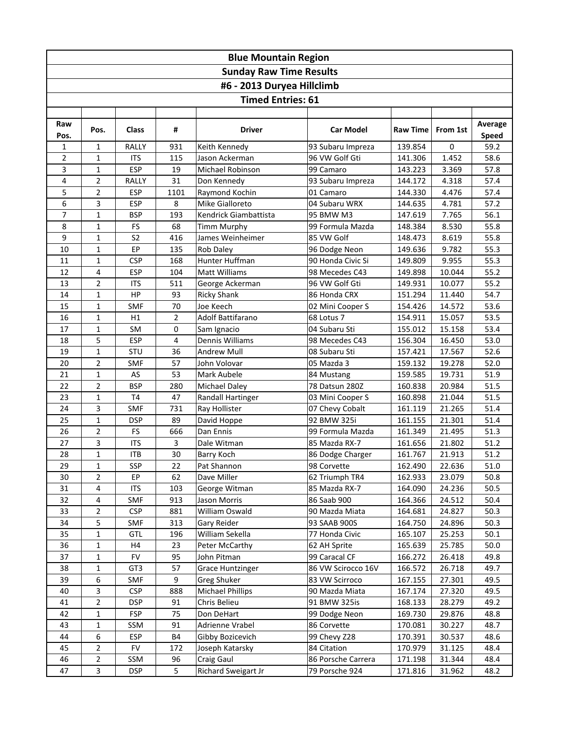|                                | <b>Blue Mountain Region</b> |                   |                |                               |                              |                    |                  |              |  |  |  |  |  |
|--------------------------------|-----------------------------|-------------------|----------------|-------------------------------|------------------------------|--------------------|------------------|--------------|--|--|--|--|--|
| <b>Sunday Raw Time Results</b> |                             |                   |                |                               |                              |                    |                  |              |  |  |  |  |  |
|                                | #6 - 2013 Duryea Hillclimb  |                   |                |                               |                              |                    |                  |              |  |  |  |  |  |
|                                |                             |                   |                | <b>Timed Entries: 61</b>      |                              |                    |                  |              |  |  |  |  |  |
|                                |                             |                   |                |                               |                              |                    |                  |              |  |  |  |  |  |
| Raw                            |                             |                   |                |                               |                              |                    |                  | Average      |  |  |  |  |  |
| Pos.                           | Pos.                        | <b>Class</b>      | #              | Driver                        | <b>Car Model</b>             | <b>Raw Time</b>    | From 1st         | <b>Speed</b> |  |  |  |  |  |
| 1                              | $\mathbf{1}$                | RALLY             | 931            | Keith Kennedy                 | 93 Subaru Impreza            | 139.854            | $\mathbf 0$      | 59.2         |  |  |  |  |  |
| $\overline{2}$                 | $\mathbf{1}$                | <b>ITS</b>        | 115            | Jason Ackerman                | 96 VW Golf Gti               | 141.306            | 1.452            | 58.6         |  |  |  |  |  |
| 3                              | $\mathbf{1}$                | <b>ESP</b>        | 19             | Michael Robinson              | 99 Camaro                    | 143.223            | 3.369            | 57.8         |  |  |  |  |  |
| 4                              | $\overline{2}$              | RALLY             | 31             | Don Kennedy                   | 93 Subaru Impreza            | 144.172            | 4.318            | 57.4         |  |  |  |  |  |
| 5                              | $\overline{2}$              | <b>ESP</b>        | 1101           | Raymond Kochin                | 01 Camaro                    | 144.330            | 4.476            | 57.4         |  |  |  |  |  |
| 6                              | $\overline{\mathbf{3}}$     | <b>ESP</b>        | 8              | Mike Gialloreto               | 04 Subaru WRX                | 144.635            | 4.781            | 57.2         |  |  |  |  |  |
| $\overline{7}$                 | $\mathbf{1}$                | <b>BSP</b>        | 193            | Kendrick Giambattista         | 95 BMW M3                    | 147.619            | 7.765            | 56.1         |  |  |  |  |  |
| 8                              | $\mathbf{1}$                | <b>FS</b>         | 68             | <b>Timm Murphy</b>            | 99 Formula Mazda             | 148.384            | 8.530            | 55.8         |  |  |  |  |  |
| 9                              | $\mathbf{1}$                | S <sub>2</sub>    | 416            | James Weinheimer              | 85 VW Golf                   | 148.473            | 8.619            | 55.8         |  |  |  |  |  |
| $10\,$                         | $\mathbf{1}$                | EP                | 135            | Rob Daley                     | 96 Dodge Neon                | 149.636            | 9.782            | 55.3         |  |  |  |  |  |
| 11                             | $\mathbf{1}$                | <b>CSP</b>        | 168            | Hunter Huffman                | 90 Honda Civic Si            | 149.809            | 9.955            | 55.3         |  |  |  |  |  |
| 12                             | 4                           | <b>ESP</b>        | 104            | <b>Matt Williams</b>          | 98 Mecedes C43               | 149.898            | 10.044           | 55.2         |  |  |  |  |  |
| 13                             | $\overline{2}$              | <b>ITS</b>        | 511            | George Ackerman               | 96 VW Golf Gti               | 149.931            | 10.077           | 55.2         |  |  |  |  |  |
| 14                             | $\mathbf{1}$                | HP                | 93             | Ricky Shank                   | 86 Honda CRX                 | 151.294            | 11.440           | 54.7         |  |  |  |  |  |
| 15                             | $\mathbf{1}$                | SMF               | 70             | Joe Keech                     | 02 Mini Cooper S             | 154.426            | 14.572           | 53.6         |  |  |  |  |  |
| 16                             | $\mathbf{1}$                | H1                | $\overline{2}$ | Adolf Battifarano             | 68 Lotus 7                   | 154.911            | 15.057           | 53.5         |  |  |  |  |  |
| 17                             | $\mathbf{1}$                | SM                | $\pmb{0}$      | Sam Ignacio                   | 04 Subaru Sti                | 155.012            | 15.158           | 53.4         |  |  |  |  |  |
| 18                             | 5                           | <b>ESP</b>        | 4              | Dennis Williams               | 98 Mecedes C43               | 156.304            | 16.450           | 53.0         |  |  |  |  |  |
| 19                             | $\mathbf 1$                 | STU               | 36             | Andrew Mull                   | 08 Subaru Sti                | 157.421            | 17.567           | 52.6         |  |  |  |  |  |
| 20                             | $\overline{2}$              | <b>SMF</b>        | 57             | John Volovar                  | 05 Mazda 3                   | 159.132            | 19.278           | 52.0         |  |  |  |  |  |
| 21                             | $\mathbf{1}$                | AS                | 53             | Mark Aubele                   | 84 Mustang                   | 159.585            | 19.731           | 51.9         |  |  |  |  |  |
| 22                             | $\overline{2}$              | <b>BSP</b>        | 280            | Michael Daley                 | 78 Datsun 280Z               | 160.838            | 20.984           | 51.5         |  |  |  |  |  |
| 23                             | $\mathbf{1}$                | T <sub>4</sub>    | 47             | Randall Hartinger             | 03 Mini Cooper S             | 160.898            | 21.044           | 51.5         |  |  |  |  |  |
| 24                             | 3                           | <b>SMF</b>        | 731            | Ray Hollister                 | 07 Chevy Cobalt              | 161.119            | 21.265           | 51.4         |  |  |  |  |  |
| 25                             | 1                           | <b>DSP</b>        | 89             | David Hoppe                   | 92 BMW 325i                  | 161.155            | 21.301           | 51.4         |  |  |  |  |  |
| 26                             | $\mathbf 2$                 | <b>FS</b>         | 666            | Dan Ennis                     | 99 Formula Mazda             | 161.349            | 21.495           | 51.3         |  |  |  |  |  |
| 27                             | 3                           | <b>ITS</b>        | 3              | Dale Witman                   | 85 Mazda RX-7                | 161.656            | 21.802           | 51.2         |  |  |  |  |  |
| 28                             | $\mathbf 1$                 | <b>ITB</b>        | 30             | Barry Koch                    | 86 Dodge Charger             | 161.767            | 21.913           | 51.2         |  |  |  |  |  |
| 29                             | 1                           | SSP               | 22             | Pat Shannon                   | 98 Corvette                  | 162.490            | 22.636           | 51.0         |  |  |  |  |  |
| 30                             | $\overline{2}$<br>$\pmb{4}$ | EP                | 62             | Dave Miller                   | 62 Triumph TR4               | 162.933            | 23.079           | 50.8<br>50.5 |  |  |  |  |  |
| 31<br>32                       | $\overline{4}$              | <b>ITS</b><br>SMF | 103<br>913     | George Witman<br>Jason Morris | 85 Mazda RX-7<br>86 Saab 900 | 164.090<br>164.366 | 24.236<br>24.512 | 50.4         |  |  |  |  |  |
| 33                             | $\overline{2}$              | <b>CSP</b>        | 881            | William Oswald                | 90 Mazda Miata               | 164.681            | 24.827           | 50.3         |  |  |  |  |  |
| 34                             | 5                           | <b>SMF</b>        | 313            | Gary Reider                   | 93 SAAB 900S                 | 164.750            | 24.896           | 50.3         |  |  |  |  |  |
| 35                             | $\mathbf{1}$                | GTL               | 196            | William Sekella               | 77 Honda Civic               | 165.107            | 25.253           | 50.1         |  |  |  |  |  |
| 36                             | $\mathbf{1}$                | H4                | 23             | Peter McCarthy                | 62 AH Sprite                 | 165.639            | 25.785           | 50.0         |  |  |  |  |  |
| 37                             | $\mathbf{1}$                | <b>FV</b>         | 95             | John Pitman                   | 99 Caracal CF                | 166.272            | 26.418           | 49.8         |  |  |  |  |  |
| 38                             | $\mathbf 1$                 | GT <sub>3</sub>   | 57             | <b>Grace Huntzinger</b>       | 86 VW Scirocco 16V           | 166.572            | 26.718           | 49.7         |  |  |  |  |  |
| 39                             | $\boldsymbol{6}$            | <b>SMF</b>        | 9              | <b>Greg Shuker</b>            | 83 VW Scirroco               | 167.155            | 27.301           | 49.5         |  |  |  |  |  |
| 40                             | $\overline{\mathbf{3}}$     | <b>CSP</b>        | 888            | Michael Phillips              | 90 Mazda Miata               | 167.174            | 27.320           | 49.5         |  |  |  |  |  |
| 41                             | $\overline{2}$              | <b>DSP</b>        | 91             | Chris Belieu                  | 91 BMW 325is                 | 168.133            | 28.279           | 49.2         |  |  |  |  |  |
| 42                             | $\mathbf{1}$                | <b>FSP</b>        | 75             | Don DeHart                    | 99 Dodge Neon                | 169.730            | 29.876           | 48.8         |  |  |  |  |  |
| 43                             | $\mathbf{1}$                | SSM               | 91             | Adrienne Vrabel               | 86 Corvette                  | 170.081            | 30.227           | 48.7         |  |  |  |  |  |
| 44                             | 6                           | ESP               | <b>B4</b>      | Gibby Bozicevich              | 99 Chevy Z28                 | 170.391            | 30.537           | 48.6         |  |  |  |  |  |
| 45                             | $\overline{2}$              | <b>FV</b>         | 172            | Joseph Katarsky               | 84 Citation                  | 170.979            | 31.125           | 48.4         |  |  |  |  |  |
| 46                             | $\mathbf 2$                 | SSM               | 96             | Craig Gaul                    | 86 Porsche Carrera           | 171.198            | 31.344           | 48.4         |  |  |  |  |  |
| 47                             | $\overline{\mathbf{3}}$     | <b>DSP</b>        | 5              | Richard Sweigart Jr           | 79 Porsche 924               | 171.816            | 31.962           | 48.2         |  |  |  |  |  |